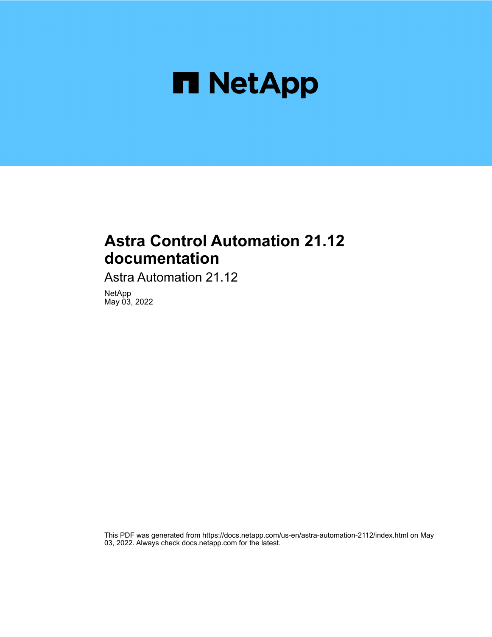

## **Astra Control Automation 21.12 documentation**

Astra Automation 21.12

NetApp May 03, 2022

This PDF was generated from https://docs.netapp.com/us-en/astra-automation-2112/index.html on May 03, 2022. Always check docs.netapp.com for the latest.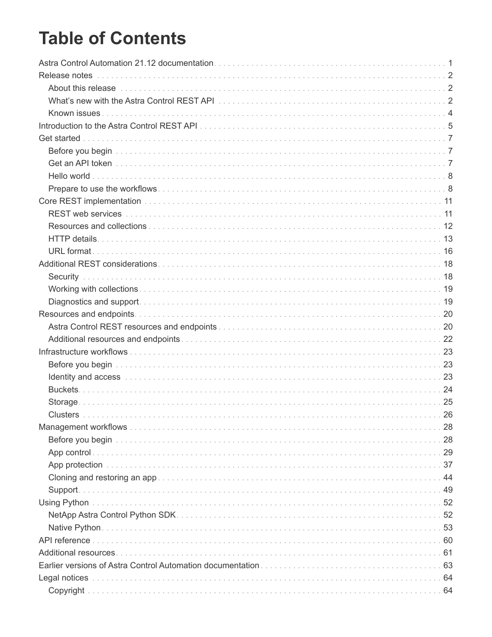# **Table of Contents**

| About this release with the contract of the contract of the contract of the contract of the contract of the contract of the contract of the contract of the contract of the contract of the contract of the contract of the co |    |
|--------------------------------------------------------------------------------------------------------------------------------------------------------------------------------------------------------------------------------|----|
|                                                                                                                                                                                                                                |    |
|                                                                                                                                                                                                                                |    |
|                                                                                                                                                                                                                                |    |
|                                                                                                                                                                                                                                |    |
|                                                                                                                                                                                                                                |    |
|                                                                                                                                                                                                                                |    |
|                                                                                                                                                                                                                                |    |
|                                                                                                                                                                                                                                |    |
|                                                                                                                                                                                                                                |    |
|                                                                                                                                                                                                                                |    |
|                                                                                                                                                                                                                                |    |
|                                                                                                                                                                                                                                |    |
|                                                                                                                                                                                                                                |    |
|                                                                                                                                                                                                                                |    |
|                                                                                                                                                                                                                                |    |
|                                                                                                                                                                                                                                |    |
|                                                                                                                                                                                                                                |    |
|                                                                                                                                                                                                                                |    |
|                                                                                                                                                                                                                                |    |
|                                                                                                                                                                                                                                |    |
|                                                                                                                                                                                                                                |    |
|                                                                                                                                                                                                                                |    |
|                                                                                                                                                                                                                                |    |
|                                                                                                                                                                                                                                |    |
|                                                                                                                                                                                                                                |    |
| <b>Clusters</b>                                                                                                                                                                                                                | 26 |
|                                                                                                                                                                                                                                |    |
|                                                                                                                                                                                                                                |    |
|                                                                                                                                                                                                                                |    |
|                                                                                                                                                                                                                                |    |
|                                                                                                                                                                                                                                |    |
| Support.                                                                                                                                                                                                                       |    |
|                                                                                                                                                                                                                                |    |
|                                                                                                                                                                                                                                |    |
|                                                                                                                                                                                                                                |    |
|                                                                                                                                                                                                                                |    |
|                                                                                                                                                                                                                                |    |
|                                                                                                                                                                                                                                |    |
|                                                                                                                                                                                                                                |    |
|                                                                                                                                                                                                                                |    |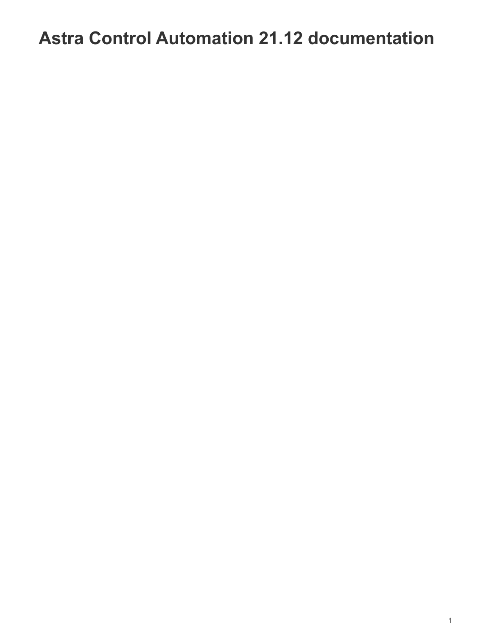# <span id="page-3-0"></span>**Astra Control Automation 21.12 documentation**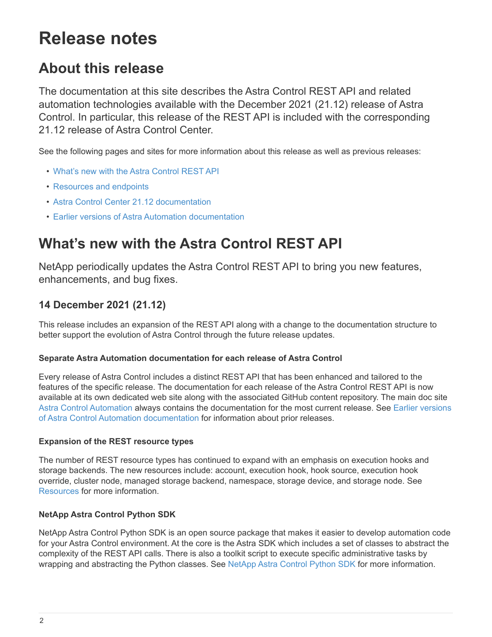# <span id="page-4-0"></span>**Release notes**

## <span id="page-4-1"></span>**About this release**

The documentation at this site describes the Astra Control REST API and related automation technologies available with the December 2021 (21.12) release of Astra Control. In particular, this release of the REST API is included with the corresponding 21.12 release of Astra Control Center.

See the following pages and sites for more information about this release as well as previous releases:

- [What's new with the Astra Control REST API](#page-4-2)
- [Resources and endpoints](#page-22-0)
- [Astra Control Center 21.12 documentation](https://docs.netapp.com/us-en/astra-control-center-2112/)
- [Earlier versions of Astra Automation documentation](#page-65-0)

## <span id="page-4-2"></span>**What's new with the Astra Control REST API**

NetApp periodically updates the Astra Control REST API to bring you new features, enhancements, and bug fixes.

## **14 December 2021 (21.12)**

This release includes an expansion of the REST API along with a change to the documentation structure to better support the evolution of Astra Control through the future release updates.

#### **Separate Astra Automation documentation for each release of Astra Control**

Every release of Astra Control includes a distinct REST API that has been enhanced and tailored to the features of the specific release. The documentation for each release of the Astra Control REST API is now available at its own dedicated web site along with the associated GitHub content repository. The main doc site [Astra Control Automation](https://docs.netapp.com/us-en/astra-automation/) always contains the documentation for the most current release. See [Earlier versions](#page-65-0) [of Astra Control Automation documentation](#page-65-0) for information about prior releases.

#### **Expansion of the REST resource types**

The number of REST resource types has continued to expand with an emphasis on execution hooks and storage backends. The new resources include: account, execution hook, hook source, execution hook override, cluster node, managed storage backend, namespace, storage device, and storage node. See [Resources](#page-22-0) for more information.

#### **NetApp Astra Control Python SDK**

NetApp Astra Control Python SDK is an open source package that makes it easier to develop automation code for your Astra Control environment. At the core is the Astra SDK which includes a set of classes to abstract the complexity of the REST API calls. There is also a toolkit script to execute specific administrative tasks by wrapping and abstracting the Python classes. See [NetApp Astra Control Python SDK](#page-54-1) for more information.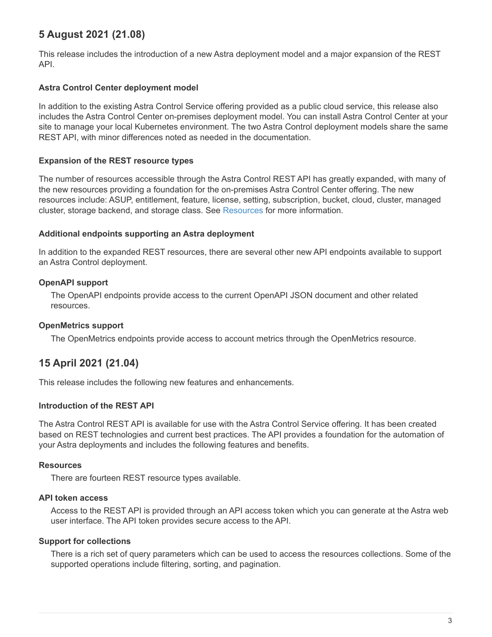## **5 August 2021 (21.08)**

This release includes the introduction of a new Astra deployment model and a major expansion of the REST API.

#### **Astra Control Center deployment model**

In addition to the existing Astra Control Service offering provided as a public cloud service, this release also includes the Astra Control Center on-premises deployment model. You can install Astra Control Center at your site to manage your local Kubernetes environment. The two Astra Control deployment models share the same REST API, with minor differences noted as needed in the documentation.

#### **Expansion of the REST resource types**

The number of resources accessible through the Astra Control REST API has greatly expanded, with many of the new resources providing a foundation for the on-premises Astra Control Center offering. The new resources include: ASUP, entitlement, feature, license, setting, subscription, bucket, cloud, cluster, managed cluster, storage backend, and storage class. See [Resources](#page-22-0) for more information.

#### **Additional endpoints supporting an Astra deployment**

In addition to the expanded REST resources, there are several other new API endpoints available to support an Astra Control deployment.

#### **OpenAPI support**

The OpenAPI endpoints provide access to the current OpenAPI JSON document and other related resources.

#### **OpenMetrics support**

The OpenMetrics endpoints provide access to account metrics through the OpenMetrics resource.

## **15 April 2021 (21.04)**

This release includes the following new features and enhancements.

#### **Introduction of the REST API**

The Astra Control REST API is available for use with the Astra Control Service offering. It has been created based on REST technologies and current best practices. The API provides a foundation for the automation of your Astra deployments and includes the following features and benefits.

#### **Resources**

There are fourteen REST resource types available.

#### **API token access**

Access to the REST API is provided through an API access token which you can generate at the Astra web user interface. The API token provides secure access to the API.

#### **Support for collections**

There is a rich set of query parameters which can be used to access the resources collections. Some of the supported operations include filtering, sorting, and pagination.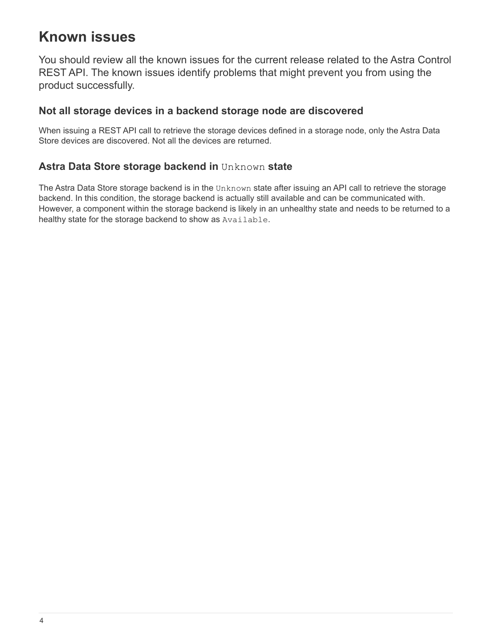## <span id="page-6-0"></span>**Known issues**

You should review all the known issues for the current release related to the Astra Control REST API. The known issues identify problems that might prevent you from using the product successfully.

## **Not all storage devices in a backend storage node are discovered**

When issuing a REST API call to retrieve the storage devices defined in a storage node, only the Astra Data Store devices are discovered. Not all the devices are returned.

## **Astra Data Store storage backend in** Unknown **state**

The Astra Data Store storage backend is in the Unknown state after issuing an API call to retrieve the storage backend. In this condition, the storage backend is actually still available and can be communicated with. However, a component within the storage backend is likely in an unhealthy state and needs to be returned to a healthy state for the storage backend to show as Available.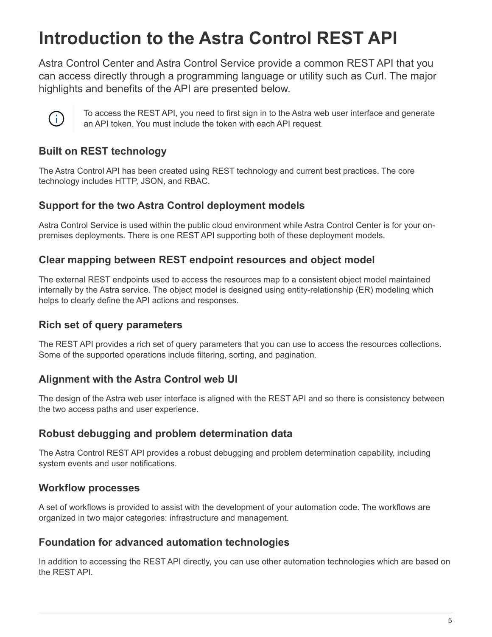# <span id="page-7-0"></span>**Introduction to the Astra Control REST API**

Astra Control Center and Astra Control Service provide a common REST API that you can access directly through a programming language or utility such as Curl. The major highlights and benefits of the API are presented below.



To access the REST API, you need to first sign in to the Astra web user interface and generate an API token. You must include the token with each API request.

## **Built on REST technology**

The Astra Control API has been created using REST technology and current best practices. The core technology includes HTTP, JSON, and RBAC.

## **Support for the two Astra Control deployment models**

Astra Control Service is used within the public cloud environment while Astra Control Center is for your onpremises deployments. There is one REST API supporting both of these deployment models.

## **Clear mapping between REST endpoint resources and object model**

The external REST endpoints used to access the resources map to a consistent object model maintained internally by the Astra service. The object model is designed using entity-relationship (ER) modeling which helps to clearly define the API actions and responses.

## **Rich set of query parameters**

The REST API provides a rich set of query parameters that you can use to access the resources collections. Some of the supported operations include filtering, sorting, and pagination.

## **Alignment with the Astra Control web UI**

The design of the Astra web user interface is aligned with the REST API and so there is consistency between the two access paths and user experience.

## **Robust debugging and problem determination data**

The Astra Control REST API provides a robust debugging and problem determination capability, including system events and user notifications.

## **Workflow processes**

A set of workflows is provided to assist with the development of your automation code. The workflows are organized in two major categories: infrastructure and management.

## **Foundation for advanced automation technologies**

In addition to accessing the REST API directly, you can use other automation technologies which are based on the REST API.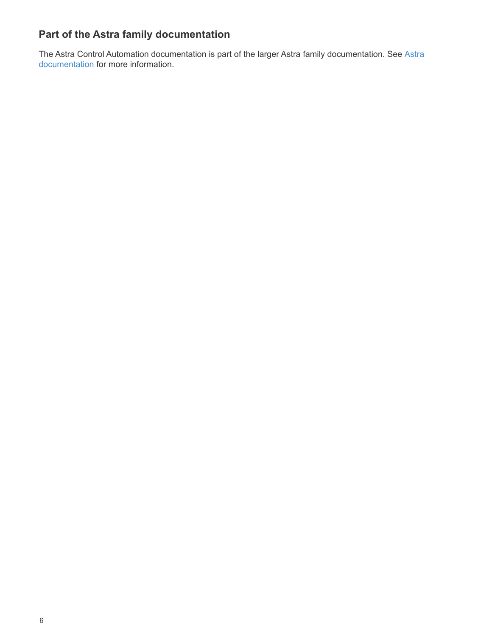## **Part of the Astra family documentation**

The Astra Control Automation documentation is part of the larger Astra family documentation. See [Astra](https://docs.netapp.com/us-en/astra-family/) [documentation](https://docs.netapp.com/us-en/astra-family/) for more information.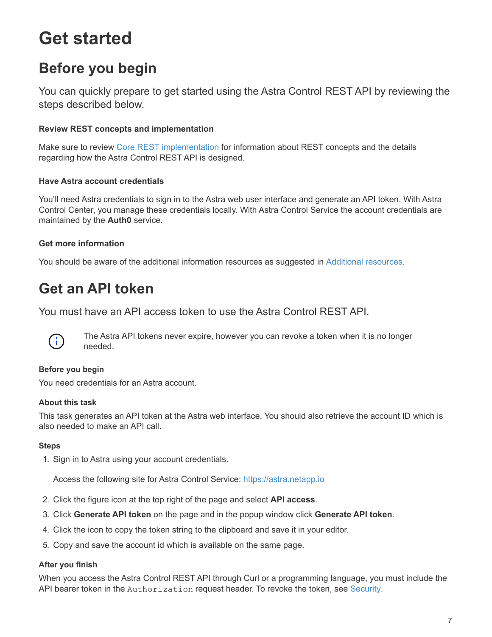# <span id="page-9-0"></span>**Get started**

## <span id="page-9-1"></span>**Before you begin**

You can quickly prepare to get started using the Astra Control REST API by reviewing the steps described below.

#### **Review REST concepts and implementation**

Make sure to review [Core REST implementation](#page-13-1) for information about REST concepts and the details regarding how the Astra Control REST API is designed.

#### **Have Astra account credentials**

You'll need Astra credentials to sign in to the Astra web user interface and generate an API token. With Astra Control Center, you manage these credentials locally. With Astra Control Service the account credentials are maintained by the **Auth0** service.

#### **Get more information**

You should be aware of the additional information resources as suggested in [Additional resources](#page-63-0).

## <span id="page-9-2"></span>**Get an API token**

You must have an API access token to use the Astra Control REST API.



The Astra API tokens never expire, however you can revoke a token when it is no longer needed.

#### **Before you begin**

You need credentials for an Astra account.

#### **About this task**

This task generates an API token at the Astra web interface. You should also retrieve the account ID which is also needed to make an API call.

#### **Steps**

1. Sign in to Astra using your account credentials.

Access the following site for Astra Control Service: [https://astra.netapp.io](https://astra.netapp.io/)

- 2. Click the figure icon at the top right of the page and select **API access**.
- 3. Click **Generate API token** on the page and in the popup window click **Generate API token**.
- 4. Click the icon to copy the token string to the clipboard and save it in your editor.
- 5. Copy and save the account id which is available on the same page.

#### **After you finish**

When you access the Astra Control REST API through Curl or a programming language, you must include the API bearer token in the Authorization request header. To revoke the token, see [Security](#page-20-1).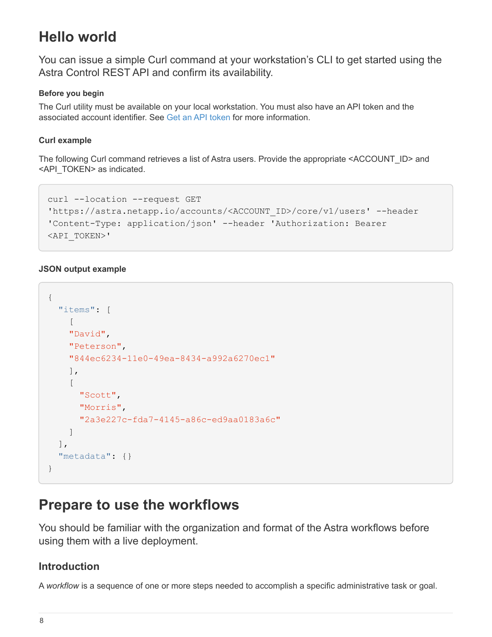## <span id="page-10-0"></span>**Hello world**

You can issue a simple Curl command at your workstation's CLI to get started using the Astra Control REST API and confirm its availability.

#### **Before you begin**

The Curl utility must be available on your local workstation. You must also have an API token and the associated account identifier. See [Get an API token](#page-9-2) for more information.

#### **Curl example**

The following Curl command retrieves a list of Astra users. Provide the appropriate <ACCOUNT\_ID> and <API\_TOKEN> as indicated.

```
curl --location --request GET
'https://astra.netapp.io/accounts/<ACCOUNT_ID>/core/v1/users' --header
'Content-Type: application/json' --header 'Authorization: Bearer
<API_TOKEN>'
```
#### **JSON output example**

```
{
    "items": [
     \lceil  "David",
       "Peterson",
       "844ec6234-11e0-49ea-8434-a992a6270ec1"
      ],
     \lceil  "Scott",
         "Morris",
         "2a3e227c-fda7-4145-a86c-ed9aa0183a6c"
      ]
    ],
    "metadata": {}
}
```
## <span id="page-10-1"></span>**Prepare to use the workflows**

You should be familiar with the organization and format of the Astra workflows before using them with a live deployment.

### **Introduction**

A *workflow* is a sequence of one or more steps needed to accomplish a specific administrative task or goal.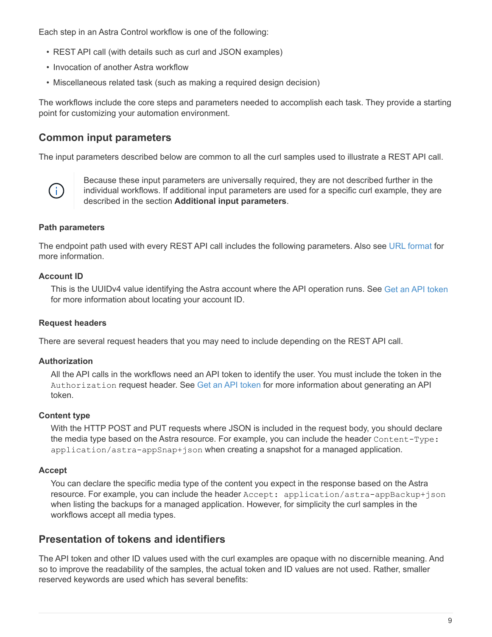Each step in an Astra Control workflow is one of the following:

- REST API call (with details such as curl and JSON examples)
- Invocation of another Astra workflow
- Miscellaneous related task (such as making a required design decision)

The workflows include the core steps and parameters needed to accomplish each task. They provide a starting point for customizing your automation environment.

### **Common input parameters**

The input parameters described below are common to all the curl samples used to illustrate a REST API call.



Because these input parameters are universally required, they are not described further in the individual workflows. If additional input parameters are used for a specific curl example, they are described in the section **Additional input parameters**.

#### **Path parameters**

The endpoint path used with every REST API call includes the following parameters. Also see [URL format](#page-18-0) for more information.

#### **Account ID**

This is the UUIDv4 value identifying the Astra account where the API operation runs. See [Get an API token](#page-9-2) for more information about locating your account ID.

#### **Request headers**

There are several request headers that you may need to include depending on the REST API call.

#### **Authorization**

All the API calls in the workflows need an API token to identify the user. You must include the token in the Authorization request header. See [Get an API token](#page-9-2) for more information about generating an API token.

#### **Content type**

With the HTTP POST and PUT requests where JSON is included in the request body, you should declare the media type based on the Astra resource. For example, you can include the header Content-Type: application/astra-appSnap+json when creating a snapshot for a managed application.

#### **Accept**

You can declare the specific media type of the content you expect in the response based on the Astra resource. For example, you can include the header Accept: application/astra-appBackup+json when listing the backups for a managed application. However, for simplicity the curl samples in the workflows accept all media types.

## **Presentation of tokens and identifiers**

The API token and other ID values used with the curl examples are opaque with no discernible meaning. And so to improve the readability of the samples, the actual token and ID values are not used. Rather, smaller reserved keywords are used which has several benefits: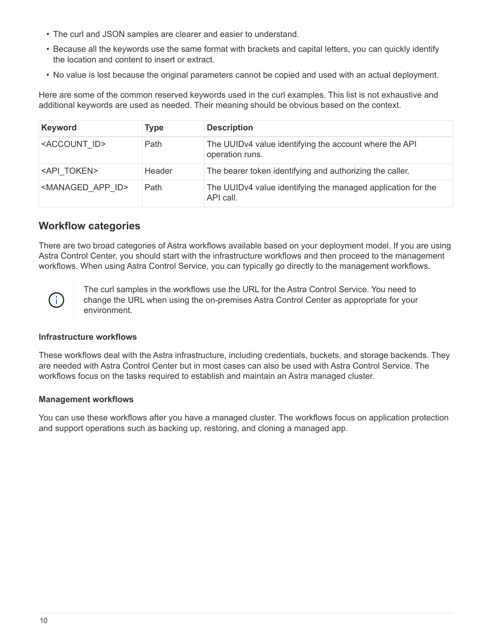- The curl and JSON samples are clearer and easier to understand.
- Because all the keywords use the same format with brackets and capital letters, you can quickly identify the location and content to insert or extract.
- No value is lost because the original parameters cannot be copied and used with an actual deployment.

Here are some of the common reserved keywords used in the curl examples. This list is not exhaustive and additional keywords are used as needed. Their meaning should be obvious based on the context.

| <b>Keyword</b>                   | Type   | <b>Description</b>                                                        |
|----------------------------------|--------|---------------------------------------------------------------------------|
| <account id=""></account>        | Path   | The UUIDv4 value identifying the account where the API<br>operation runs. |
| <api token=""></api>             | Header | The bearer token identifying and authorizing the caller.                  |
| <managed app="" id=""></managed> | Path   | The UUIDv4 value identifying the managed application for the<br>API call. |

## **Workflow categories**

There are two broad categories of Astra workflows available based on your deployment model. If you are using Astra Control Center, you should start with the infrastructure workflows and then proceed to the management workflows. When using Astra Control Service, you can typically go directly to the management workflows.



The curl samples in the workflows use the URL for the Astra Control Service. You need to change the URL when using the on-premises Astra Control Center as appropriate for your environment.

#### **Infrastructure workflows**

These workflows deal with the Astra infrastructure, including credentials, buckets, and storage backends. They are needed with Astra Control Center but in most cases can also be used with Astra Control Service. The workflows focus on the tasks required to establish and maintain an Astra managed cluster.

#### **Management workflows**

You can use these workflows after you have a managed cluster. The workflows focus on application protection and support operations such as backing up, restoring, and cloning a managed app.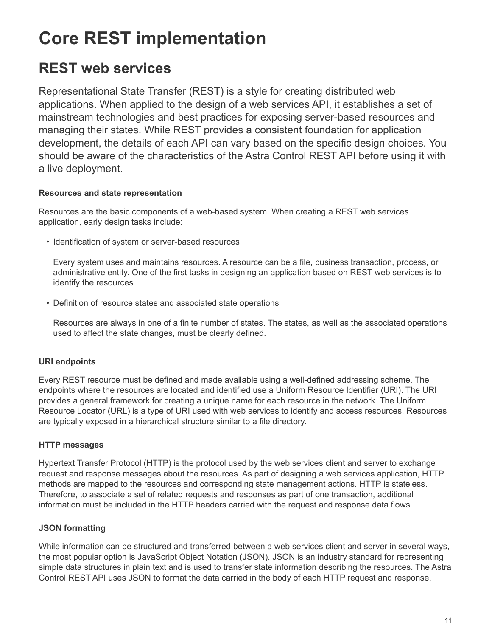# <span id="page-13-0"></span>**Core REST implementation**

## <span id="page-13-1"></span>**REST web services**

Representational State Transfer (REST) is a style for creating distributed web applications. When applied to the design of a web services API, it establishes a set of mainstream technologies and best practices for exposing server-based resources and managing their states. While REST provides a consistent foundation for application development, the details of each API can vary based on the specific design choices. You should be aware of the characteristics of the Astra Control REST API before using it with a live deployment.

#### **Resources and state representation**

Resources are the basic components of a web-based system. When creating a REST web services application, early design tasks include:

• Identification of system or server-based resources

Every system uses and maintains resources. A resource can be a file, business transaction, process, or administrative entity. One of the first tasks in designing an application based on REST web services is to identify the resources.

• Definition of resource states and associated state operations

Resources are always in one of a finite number of states. The states, as well as the associated operations used to affect the state changes, must be clearly defined.

### **URI endpoints**

Every REST resource must be defined and made available using a well-defined addressing scheme. The endpoints where the resources are located and identified use a Uniform Resource Identifier (URI). The URI provides a general framework for creating a unique name for each resource in the network. The Uniform Resource Locator (URL) is a type of URI used with web services to identify and access resources. Resources are typically exposed in a hierarchical structure similar to a file directory.

### **HTTP messages**

Hypertext Transfer Protocol (HTTP) is the protocol used by the web services client and server to exchange request and response messages about the resources. As part of designing a web services application, HTTP methods are mapped to the resources and corresponding state management actions. HTTP is stateless. Therefore, to associate a set of related requests and responses as part of one transaction, additional information must be included in the HTTP headers carried with the request and response data flows.

### **JSON formatting**

While information can be structured and transferred between a web services client and server in several ways, the most popular option is JavaScript Object Notation (JSON). JSON is an industry standard for representing simple data structures in plain text and is used to transfer state information describing the resources. The Astra Control REST API uses JSON to format the data carried in the body of each HTTP request and response.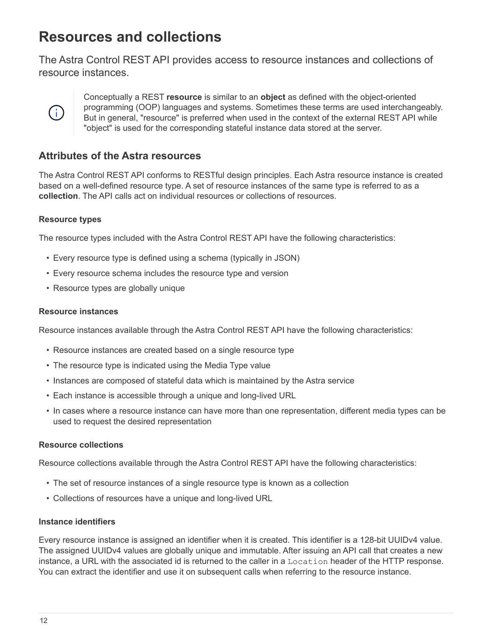## <span id="page-14-0"></span>**Resources and collections**

The Astra Control REST API provides access to resource instances and collections of resource instances.



Conceptually a REST **resource** is similar to an **object** as defined with the object-oriented programming (OOP) languages and systems. Sometimes these terms are used interchangeably. But in general, "resource" is preferred when used in the context of the external REST API while "object" is used for the corresponding stateful instance data stored at the server.

## **Attributes of the Astra resources**

The Astra Control REST API conforms to RESTful design principles. Each Astra resource instance is created based on a well-defined resource type. A set of resource instances of the same type is referred to as a **collection**. The API calls act on individual resources or collections of resources.

#### **Resource types**

The resource types included with the Astra Control REST API have the following characteristics:

- Every resource type is defined using a schema (typically in JSON)
- Every resource schema includes the resource type and version
- Resource types are globally unique

#### **Resource instances**

Resource instances available through the Astra Control REST API have the following characteristics:

- Resource instances are created based on a single resource type
- The resource type is indicated using the Media Type value
- Instances are composed of stateful data which is maintained by the Astra service
- Each instance is accessible through a unique and long-lived URL
- In cases where a resource instance can have more than one representation, different media types can be used to request the desired representation

#### **Resource collections**

Resource collections available through the Astra Control REST API have the following characteristics:

- The set of resource instances of a single resource type is known as a collection
- Collections of resources have a unique and long-lived URL

#### **Instance identifiers**

Every resource instance is assigned an identifier when it is created. This identifier is a 128-bit UUIDv4 value. The assigned UUIDv4 values are globally unique and immutable. After issuing an API call that creates a new instance, a URL with the associated id is returned to the caller in a Location header of the HTTP response. You can extract the identifier and use it on subsequent calls when referring to the resource instance.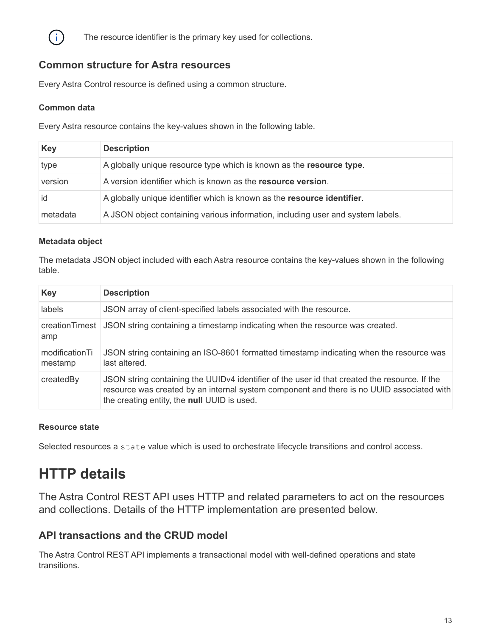

The resource identifier is the primary key used for collections.

### **Common structure for Astra resources**

Every Astra Control resource is defined using a common structure.

#### **Common data**

Every Astra resource contains the key-values shown in the following table.

| <b>Key</b> | <b>Description</b>                                                              |
|------------|---------------------------------------------------------------------------------|
| type       | A globally unique resource type which is known as the resource type.            |
| version    | A version identifier which is known as the resource version.                    |
| id         | A globally unique identifier which is known as the resource identifier.         |
| metadata   | A JSON object containing various information, including user and system labels. |

#### **Metadata object**

The metadata JSON object included with each Astra resource contains the key-values shown in the following table.

| <b>Key</b>                | <b>Description</b>                                                                                                                                                                                                                        |
|---------------------------|-------------------------------------------------------------------------------------------------------------------------------------------------------------------------------------------------------------------------------------------|
| labels                    | JSON array of client-specified labels associated with the resource.                                                                                                                                                                       |
| amp                       | creation Timest JSON string containing a timestamp indicating when the resource was created.                                                                                                                                              |
| modificationTi<br>mestamp | JSON string containing an ISO-8601 formatted timestamp indicating when the resource was<br>last altered.                                                                                                                                  |
| createdBy                 | JSON string containing the UUIDv4 identifier of the user id that created the resource. If the<br>resource was created by an internal system component and there is no UUID associated with<br>the creating entity, the null UUID is used. |

#### **Resource state**

Selected resources a state value which is used to orchestrate lifecycle transitions and control access.

## <span id="page-15-0"></span>**HTTP details**

The Astra Control REST API uses HTTP and related parameters to act on the resources and collections. Details of the HTTP implementation are presented below.

### **API transactions and the CRUD model**

The Astra Control REST API implements a transactional model with well-defined operations and state transitions.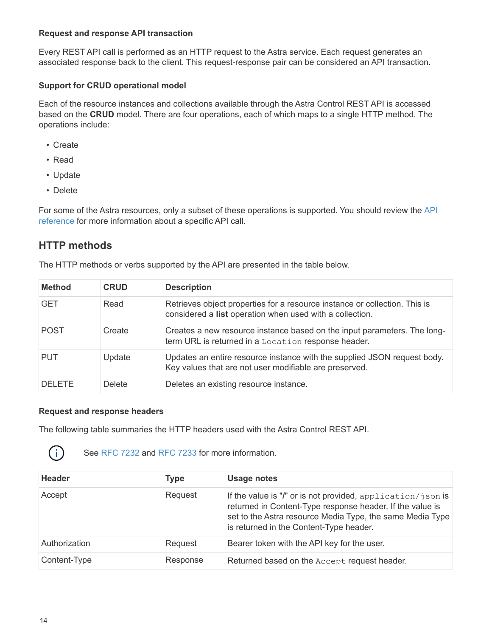#### **Request and response API transaction**

Every REST API call is performed as an HTTP request to the Astra service. Each request generates an associated response back to the client. This request-response pair can be considered an API transaction.

#### **Support for CRUD operational model**

Each of the resource instances and collections available through the Astra Control REST API is accessed based on the **CRUD** model. There are four operations, each of which maps to a single HTTP method. The operations include:

- Create
- Read
- Update
- Delete

For some of the Astra resources, only a subset of these operations is supported. You should review the [API](#page-62-0) [reference](#page-62-0) for more information about a specific API call.

### **HTTP methods**

| <b>Method</b> | <b>CRUD</b> | <b>Description</b>                                                                                                                     |
|---------------|-------------|----------------------------------------------------------------------------------------------------------------------------------------|
| <b>GET</b>    | Read        | Retrieves object properties for a resource instance or collection. This is<br>considered a list operation when used with a collection. |
| <b>POST</b>   | Create      | Creates a new resource instance based on the input parameters. The long-<br>term URL is returned in a Location response header.        |
| <b>PUT</b>    | Update      | Updates an entire resource instance with the supplied JSON request body.<br>Key values that are not user modifiable are preserved.     |
| DELETE        | Delete      | Deletes an existing resource instance.                                                                                                 |

The HTTP methods or verbs supported by the API are presented in the table below.

#### **Request and response headers**

The following table summaries the HTTP headers used with the Astra Control REST API.



See [RFC 7232](https://www.rfc-editor.org/rfc/rfc7232.txt) and [RFC 7233](https://www.rfc-editor.org/rfc/rfc7233.txt) for more information.

| <b>Header</b> | Type     | <b>Usage notes</b>                                                                                                                                                                                                               |
|---------------|----------|----------------------------------------------------------------------------------------------------------------------------------------------------------------------------------------------------------------------------------|
| Accept        | Request  | If the value is "/" or is not provided, application/json is<br>returned in Content-Type response header. If the value is<br>set to the Astra resource Media Type, the same Media Type<br>is returned in the Content-Type header. |
| Authorization | Request  | Bearer token with the API key for the user.                                                                                                                                                                                      |
| Content-Type  | Response | Returned based on the Accept request header.                                                                                                                                                                                     |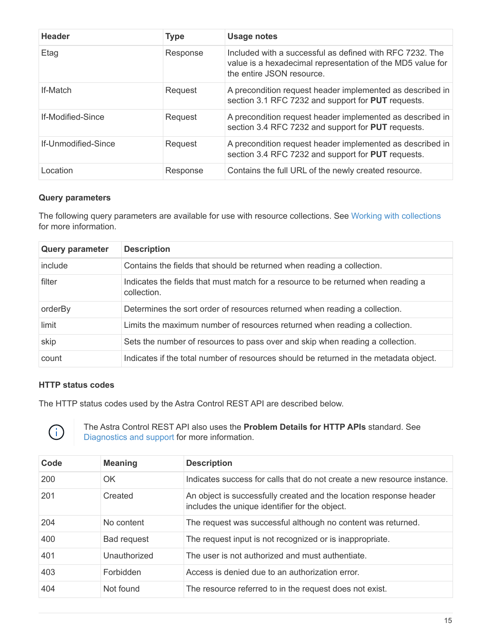| <b>Header</b>            | <b>Type</b> | <b>Usage notes</b>                                                                                                                                  |
|--------------------------|-------------|-----------------------------------------------------------------------------------------------------------------------------------------------------|
| Etag                     | Response    | Included with a successful as defined with RFC 7232. The<br>value is a hexadecimal representation of the MD5 value for<br>the entire JSON resource. |
| <b>If-Match</b>          | Request     | A precondition request header implemented as described in<br>section 3.1 RFC 7232 and support for PUT requests.                                     |
| <b>If-Modified-Since</b> | Request     | A precondition request header implemented as described in<br>section 3.4 RFC 7232 and support for PUT requests.                                     |
| If-Unmodified-Since      | Request     | A precondition request header implemented as described in<br>section 3.4 RFC 7232 and support for PUT requests.                                     |
| Location                 | Response    | Contains the full URL of the newly created resource.                                                                                                |

#### **Query parameters**

The following query parameters are available for use with resource collections. See [Working with collections](#page-21-0) for more information.

| <b>Query parameter</b> | <b>Description</b>                                                                               |
|------------------------|--------------------------------------------------------------------------------------------------|
| include                | Contains the fields that should be returned when reading a collection.                           |
| filter                 | Indicates the fields that must match for a resource to be returned when reading a<br>collection. |
| orderBy                | Determines the sort order of resources returned when reading a collection.                       |
| limit                  | Limits the maximum number of resources returned when reading a collection.                       |
| skip                   | Sets the number of resources to pass over and skip when reading a collection.                    |
| count                  | Indicates if the total number of resources should be returned in the metadata object.            |

#### **HTTP status codes**

The HTTP status codes used by the Astra Control REST API are described below.



The Astra Control REST API also uses the **Problem Details for HTTP APIs** standard. See [Diagnostics and support](https://docs.netapp.com/us-en/astra-automation-2112/rest-core/diagnostics_support.html) for more information.

| Code | <b>Meaning</b>     | <b>Description</b>                                                                                                   |
|------|--------------------|----------------------------------------------------------------------------------------------------------------------|
| 200  | OK                 | Indicates success for calls that do not create a new resource instance.                                              |
| 201  | Created            | An object is successfully created and the location response header<br>includes the unique identifier for the object. |
| 204  | No content         | The request was successful although no content was returned.                                                         |
| 400  | <b>Bad request</b> | The request input is not recognized or is inappropriate.                                                             |
| 401  | Unauthorized       | The user is not authorized and must authentiate.                                                                     |
| 403  | Forbidden          | Access is denied due to an authorization error.                                                                      |
| 404  | Not found          | The resource referred to in the request does not exist.                                                              |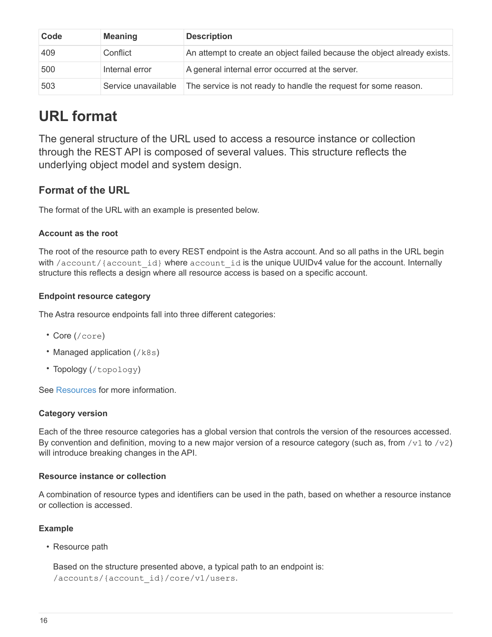| Code | <b>Meaning</b>      | <b>Description</b>                                                       |
|------|---------------------|--------------------------------------------------------------------------|
| 409  | Conflict            | An attempt to create an object failed because the object already exists. |
| 500  | Internal error      | A general internal error occurred at the server.                         |
| 503  | Service unavailable | The service is not ready to handle the request for some reason.          |

## <span id="page-18-0"></span>**URL format**

The general structure of the URL used to access a resource instance or collection through the REST API is composed of several values. This structure reflects the underlying object model and system design.

## **Format of the URL**

The format of the URL with an example is presented below.

#### **Account as the root**

The root of the resource path to every REST endpoint is the Astra account. And so all paths in the URL begin with /account/{account\_id} where account\_id is the unique UUIDv4 value for the account. Internally structure this reflects a design where all resource access is based on a specific account.

#### **Endpoint resource category**

The Astra resource endpoints fall into three different categories:

- Core (/core)
- Managed application  $//k8s)$
- Topology (/topology)

See [Resources](#page-22-0) for more information.

#### **Category version**

Each of the three resource categories has a global version that controls the version of the resources accessed. By convention and definition, moving to a new major version of a resource category (such as, from /v1 to /v2) will introduce breaking changes in the API.

#### **Resource instance or collection**

A combination of resource types and identifiers can be used in the path, based on whether a resource instance or collection is accessed.

#### **Example**

• Resource path

Based on the structure presented above, a typical path to an endpoint is: /accounts/{account\_id}/core/v1/users.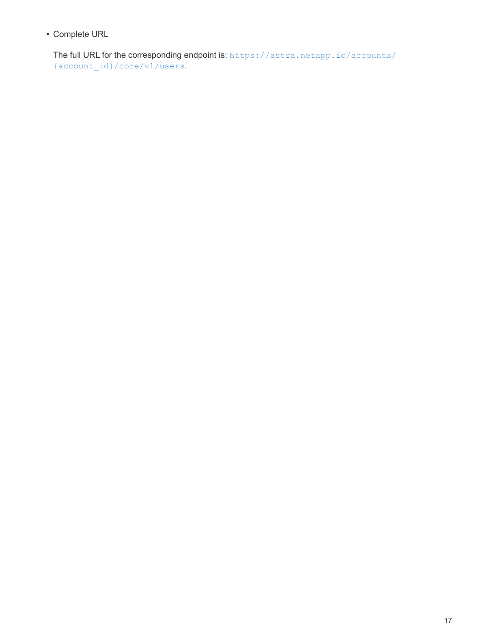• Complete URL

The full URL for the corresponding endpoint is: [https://astra.netapp.io/accounts/](https://astra.netapp.io/accounts/{account_id}/core/v1/users) [{account\\_id}/core/v1/users](https://astra.netapp.io/accounts/{account_id}/core/v1/users).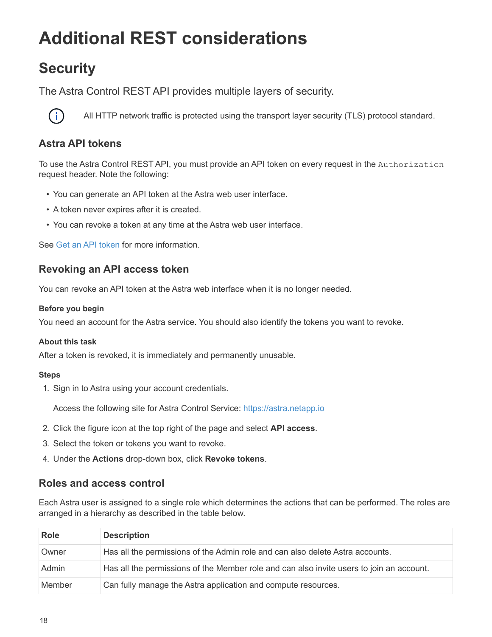# <span id="page-20-0"></span>**Additional REST considerations**

## <span id="page-20-1"></span>**Security**

The Astra Control REST API provides multiple layers of security.



All HTTP network traffic is protected using the transport layer security (TLS) protocol standard.

## **Astra API tokens**

To use the Astra Control REST API, you must provide an API token on every request in the Authorization request header. Note the following:

- You can generate an API token at the Astra web user interface.
- A token never expires after it is created.
- You can revoke a token at any time at the Astra web user interface.

See [Get an API token](#page-9-2) for more information.

## **Revoking an API access token**

You can revoke an API token at the Astra web interface when it is no longer needed.

#### **Before you begin**

You need an account for the Astra service. You should also identify the tokens you want to revoke.

#### **About this task**

After a token is revoked, it is immediately and permanently unusable.

#### **Steps**

1. Sign in to Astra using your account credentials.

Access the following site for Astra Control Service: [https://astra.netapp.io](https://astra.netapp.io/)

- 2. Click the figure icon at the top right of the page and select **API access**.
- 3. Select the token or tokens you want to revoke.
- 4. Under the **Actions** drop-down box, click **Revoke tokens**.

### **Roles and access control**

Each Astra user is assigned to a single role which determines the actions that can be performed. The roles are arranged in a hierarchy as described in the table below.

| <b>Role</b> | <b>Description</b>                                                                       |
|-------------|------------------------------------------------------------------------------------------|
| Owner       | Has all the permissions of the Admin role and can also delete Astra accounts.            |
| Admin       | Has all the permissions of the Member role and can also invite users to join an account. |
| Member      | Can fully manage the Astra application and compute resources.                            |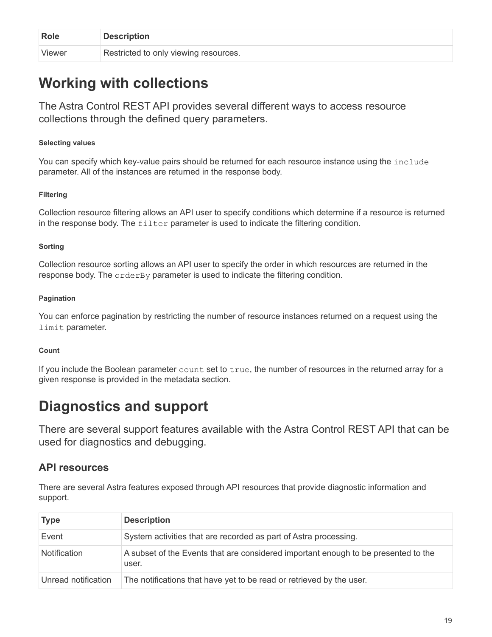| Role   | <b>Description</b>                    |
|--------|---------------------------------------|
| Viewer | Restricted to only viewing resources. |

## <span id="page-21-0"></span>**Working with collections**

The Astra Control REST API provides several different ways to access resource collections through the defined query parameters.

#### **Selecting values**

You can specify which key-value pairs should be returned for each resource instance using the include parameter. All of the instances are returned in the response body.

#### **Filtering**

Collection resource filtering allows an API user to specify conditions which determine if a resource is returned in the response body. The filter parameter is used to indicate the filtering condition.

#### **Sorting**

Collection resource sorting allows an API user to specify the order in which resources are returned in the response body. The orderBy parameter is used to indicate the filtering condition.

#### **Pagination**

You can enforce pagination by restricting the number of resource instances returned on a request using the limit parameter.

#### **Count**

If you include the Boolean parameter  $count$  set to  $true$ , the number of resources in the returned array for a given response is provided in the metadata section.

## <span id="page-21-1"></span>**Diagnostics and support**

There are several support features available with the Astra Control REST API that can be used for diagnostics and debugging.

## **API resources**

There are several Astra features exposed through API resources that provide diagnostic information and support.

| <b>Type</b>         | <b>Description</b>                                                                          |
|---------------------|---------------------------------------------------------------------------------------------|
| Event               | System activities that are recorded as part of Astra processing.                            |
| <b>Notification</b> | A subset of the Events that are considered important enough to be presented to the<br>user. |
| Unread notification | The notifications that have yet to be read or retrieved by the user.                        |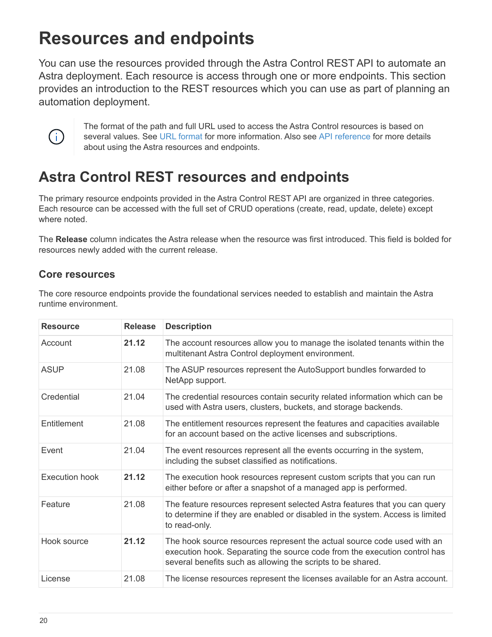# <span id="page-22-0"></span>**Resources and endpoints**

You can use the resources provided through the Astra Control REST API to automate an Astra deployment. Each resource is access through one or more endpoints. This section provides an introduction to the REST resources which you can use as part of planning an automation deployment.



The format of the path and full URL used to access the Astra Control resources is based on several values. See [URL format](#page-18-0) for more information. Also see [API reference](#page-62-0) for more details about using the Astra resources and endpoints.

## <span id="page-22-1"></span>**Astra Control REST resources and endpoints**

The primary resource endpoints provided in the Astra Control REST API are organized in three categories. Each resource can be accessed with the full set of CRUD operations (create, read, update, delete) except where noted

The **Release** column indicates the Astra release when the resource was first introduced. This field is bolded for resources newly added with the current release.

### **Core resources**

The core resource endpoints provide the foundational services needed to establish and maintain the Astra runtime environment.

| <b>Resource</b> | <b>Release</b> | <b>Description</b>                                                                                                                                                                                                  |
|-----------------|----------------|---------------------------------------------------------------------------------------------------------------------------------------------------------------------------------------------------------------------|
| Account         | 21.12          | The account resources allow you to manage the isolated tenants within the<br>multitenant Astra Control deployment environment.                                                                                      |
| <b>ASUP</b>     | 21.08          | The ASUP resources represent the AutoSupport bundles forwarded to<br>NetApp support.                                                                                                                                |
| Credential      | 21.04          | The credential resources contain security related information which can be<br>used with Astra users, clusters, buckets, and storage backends.                                                                       |
| Entitlement     | 21.08          | The entitlement resources represent the features and capacities available<br>for an account based on the active licenses and subscriptions.                                                                         |
| Event           | 21.04          | The event resources represent all the events occurring in the system,<br>including the subset classified as notifications.                                                                                          |
| Execution hook  | 21.12          | The execution hook resources represent custom scripts that you can run<br>either before or after a snapshot of a managed app is performed.                                                                          |
| Feature         | 21.08          | The feature resources represent selected Astra features that you can query<br>to determine if they are enabled or disabled in the system. Access is limited<br>to read-only.                                        |
| Hook source     | 21.12          | The hook source resources represent the actual source code used with an<br>execution hook. Separating the source code from the execution control has<br>several benefits such as allowing the scripts to be shared. |
| License         | 21.08          | The license resources represent the licenses available for an Astra account.                                                                                                                                        |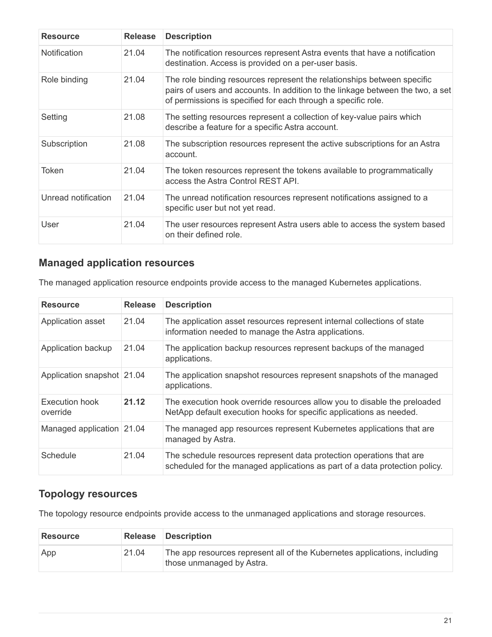| <b>Resource</b>     | <b>Release</b> | <b>Description</b>                                                                                                                                                                                                         |
|---------------------|----------------|----------------------------------------------------------------------------------------------------------------------------------------------------------------------------------------------------------------------------|
| <b>Notification</b> | 21.04          | The notification resources represent Astra events that have a notification<br>destination. Access is provided on a per-user basis.                                                                                         |
| Role binding        | 21.04          | The role binding resources represent the relationships between specific<br>pairs of users and accounts. In addition to the linkage between the two, a set<br>of permissions is specified for each through a specific role. |
| Setting             | 21.08          | The setting resources represent a collection of key-value pairs which<br>describe a feature for a specific Astra account.                                                                                                  |
| Subscription        | 21.08          | The subscription resources represent the active subscriptions for an Astra<br>account.                                                                                                                                     |
| Token               | 21.04          | The token resources represent the tokens available to programmatically<br>access the Astra Control REST API.                                                                                                               |
| Unread notification | 21.04          | The unread notification resources represent notifications assigned to a<br>specific user but not yet read.                                                                                                                 |
| User                | 21.04          | The user resources represent Astra users able to access the system based<br>on their defined role.                                                                                                                         |

## **Managed application resources**

The managed application resource endpoints provide access to the managed Kubernetes applications.

| <b>Resource</b>            | <b>Release</b> | <b>Description</b>                                                                                                                                  |
|----------------------------|----------------|-----------------------------------------------------------------------------------------------------------------------------------------------------|
| Application asset          | 21.04          | The application asset resources represent internal collections of state<br>information needed to manage the Astra applications.                     |
| Application backup         | 21.04          | The application backup resources represent backups of the managed<br>applications.                                                                  |
| Application snapshot 21.04 |                | The application snapshot resources represent snapshots of the managed<br>applications.                                                              |
| Execution hook<br>override | 21.12          | The execution hook override resources allow you to disable the preloaded<br>NetApp default execution hooks for specific applications as needed.     |
| Managed application 21.04  |                | The managed app resources represent Kubernetes applications that are<br>managed by Astra.                                                           |
| Schedule                   | 21.04          | The schedule resources represent data protection operations that are<br>scheduled for the managed applications as part of a data protection policy. |

## **Topology resources**

The topology resource endpoints provide access to the unmanaged applications and storage resources.

| <b>Resource</b> |       | <b>Release Description</b>                                                                             |
|-----------------|-------|--------------------------------------------------------------------------------------------------------|
| App             | 21.04 | The app resources represent all of the Kubernetes applications, including<br>those unmanaged by Astra. |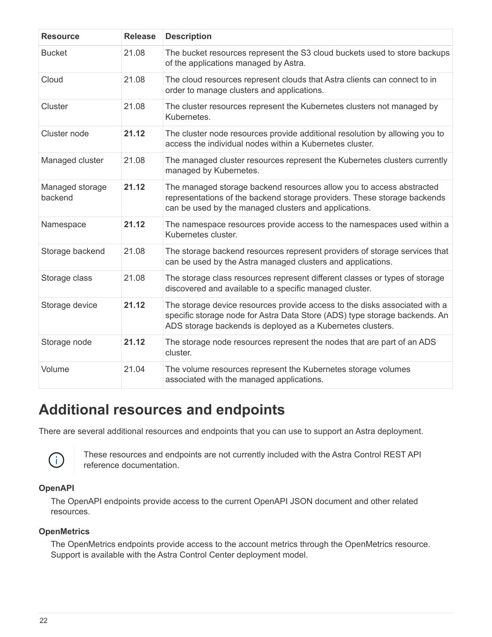| <b>Resource</b>            | <b>Release</b> | <b>Description</b>                                                                                                                                                                                                     |
|----------------------------|----------------|------------------------------------------------------------------------------------------------------------------------------------------------------------------------------------------------------------------------|
| <b>Bucket</b>              | 21.08          | The bucket resources represent the S3 cloud buckets used to store backups<br>of the applications managed by Astra.                                                                                                     |
| Cloud                      | 21.08          | The cloud resources represent clouds that Astra clients can connect to in<br>order to manage clusters and applications.                                                                                                |
| Cluster                    | 21.08          | The cluster resources represent the Kubernetes clusters not managed by<br>Kubernetes.                                                                                                                                  |
| Cluster node               | 21.12          | The cluster node resources provide additional resolution by allowing you to<br>access the individual nodes within a Kubernetes cluster.                                                                                |
| Managed cluster            | 21.08          | The managed cluster resources represent the Kubernetes clusters currently<br>managed by Kubernetes.                                                                                                                    |
| Managed storage<br>backend | 21.12          | The managed storage backend resources allow you to access abstracted<br>representations of the backend storage providers. These storage backends<br>can be used by the managed clusters and applications.              |
| Namespace                  | 21.12          | The namespace resources provide access to the namespaces used within a<br>Kubernetes cluster.                                                                                                                          |
| Storage backend            | 21.08          | The storage backend resources represent providers of storage services that<br>can be used by the Astra managed clusters and applications.                                                                              |
| Storage class              | 21.08          | The storage class resources represent different classes or types of storage<br>discovered and available to a specific managed cluster.                                                                                 |
| Storage device             | 21.12          | The storage device resources provide access to the disks associated with a<br>specific storage node for Astra Data Store (ADS) type storage backends. An<br>ADS storage backends is deployed as a Kubernetes clusters. |
| Storage node               | 21.12          | The storage node resources represent the nodes that are part of an ADS<br>cluster.                                                                                                                                     |
| Volume                     | 21.04          | The volume resources represent the Kubernetes storage volumes<br>associated with the managed applications.                                                                                                             |

## <span id="page-24-0"></span>**Additional resources and endpoints**

There are several additional resources and endpoints that you can use to support an Astra deployment.



These resources and endpoints are not currently included with the Astra Control REST API reference documentation.

#### **OpenAPI**

The OpenAPI endpoints provide access to the current OpenAPI JSON document and other related resources.

#### **OpenMetrics**

The OpenMetrics endpoints provide access to the account metrics through the OpenMetrics resource. Support is available with the Astra Control Center deployment model.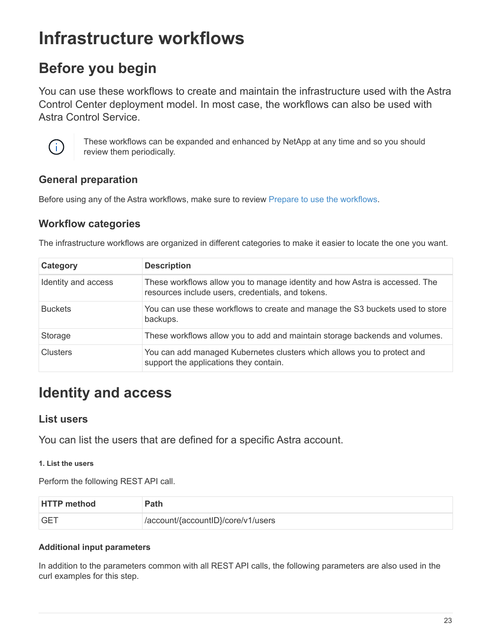# <span id="page-25-0"></span>**Infrastructure workflows**

## <span id="page-25-1"></span>**Before you begin**

You can use these workflows to create and maintain the infrastructure used with the Astra Control Center deployment model. In most case, the workflows can also be used with Astra Control Service.



These workflows can be expanded and enhanced by NetApp at any time and so you should review them periodically.

## **General preparation**

Before using any of the Astra workflows, make sure to review [Prepare to use the workflows.](#page-10-1)

## **Workflow categories**

The infrastructure workflows are organized in different categories to make it easier to locate the one you want.

| Category            | <b>Description</b>                                                                                                               |
|---------------------|----------------------------------------------------------------------------------------------------------------------------------|
| Identity and access | These workflows allow you to manage identity and how Astra is accessed. The<br>resources include users, credentials, and tokens. |
| <b>Buckets</b>      | You can use these workflows to create and manage the S3 buckets used to store<br>backups.                                        |
| Storage             | These workflows allow you to add and maintain storage backends and volumes.                                                      |
| Clusters            | You can add managed Kubernetes clusters which allows you to protect and<br>support the applications they contain.                |

## <span id="page-25-2"></span>**Identity and access**

### **List users**

You can list the users that are defined for a specific Astra account.

#### **1. List the users**

Perform the following REST API call.

| <b>HTTP method</b> | Path                               |
|--------------------|------------------------------------|
| <b>GET</b>         | /account/{accountID}/core/v1/users |

#### **Additional input parameters**

In addition to the parameters common with all REST API calls, the following parameters are also used in the curl examples for this step.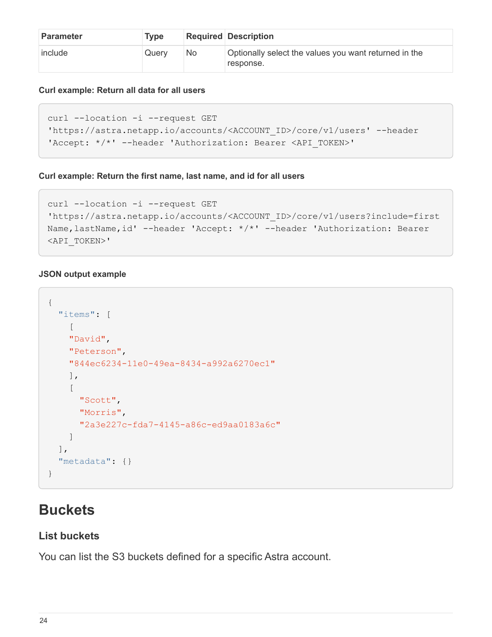| <b>Parameter</b> | <b>Type</b> |    | <b>Required Description</b>                                        |
|------------------|-------------|----|--------------------------------------------------------------------|
| include          | Querv       | No | Optionally select the values you want returned in the<br>response. |

#### **Curl example: Return all data for all users**

```
curl --location -i --request GET
'https://astra.netapp.io/accounts/<ACCOUNT_ID>/core/v1/users' --header
'Accept: */*' --header 'Authorization: Bearer <API_TOKEN>'
```
#### **Curl example: Return the first name, last name, and id for all users**

```
curl --location -i --request GET
'https://astra.netapp.io/accounts/<ACCOUNT_ID>/core/v1/users?include=first
Name,lastName,id' --header 'Accept: */*' --header 'Authorization: Bearer
<API_TOKEN>'
```
#### **JSON output example**

```
{
    "items": [
     \sqrt{2}  "David",
       "Peterson",
       "844ec6234-11e0-49ea-8434-a992a6270ec1"
      ],
     \sqrt{2}  "Scott",
         "Morris",
         "2a3e227c-fda7-4145-a86c-ed9aa0183a6c"
      ]
  \left| \ \right|,
    "metadata": {}
}
```
## <span id="page-26-0"></span>**Buckets**

## **List buckets**

You can list the S3 buckets defined for a specific Astra account.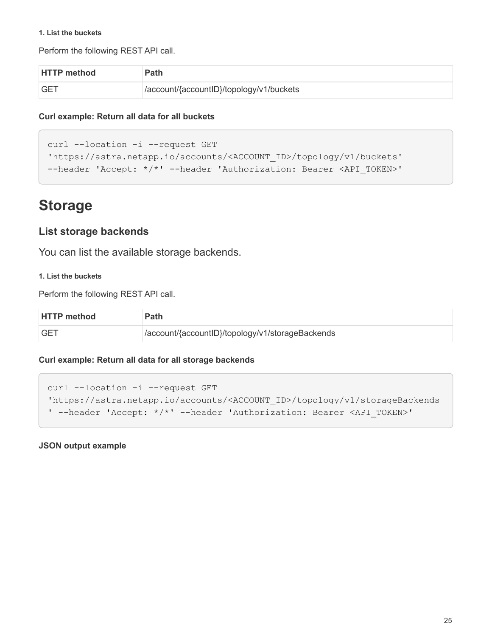#### **1. List the buckets**

Perform the following REST API call.

| <b>HTTP method</b> | Path                                     |
|--------------------|------------------------------------------|
| <b>GET</b>         | /account/{accountID}/topology/v1/buckets |

#### **Curl example: Return all data for all buckets**

```
curl --location -i --request GET
'https://astra.netapp.io/accounts/<ACCOUNT_ID>/topology/v1/buckets'
--header 'Accept: */*' --header 'Authorization: Bearer <API_TOKEN>'
```
## <span id="page-27-0"></span>**Storage**

### **List storage backends**

You can list the available storage backends.

#### **1. List the buckets**

Perform the following REST API call.

| <b>HTTP method</b> | <b>Path</b>                                      |
|--------------------|--------------------------------------------------|
| <b>GET</b>         | /account/{accountID}/topology/v1/storageBackends |

#### **Curl example: Return all data for all storage backends**

```
curl --location -i --request GET
'https://astra.netapp.io/accounts/<ACCOUNT_ID>/topology/v1/storageBackends
' --header 'Accept: */*' --header 'Authorization: Bearer <API_TOKEN>'
```
**JSON output example**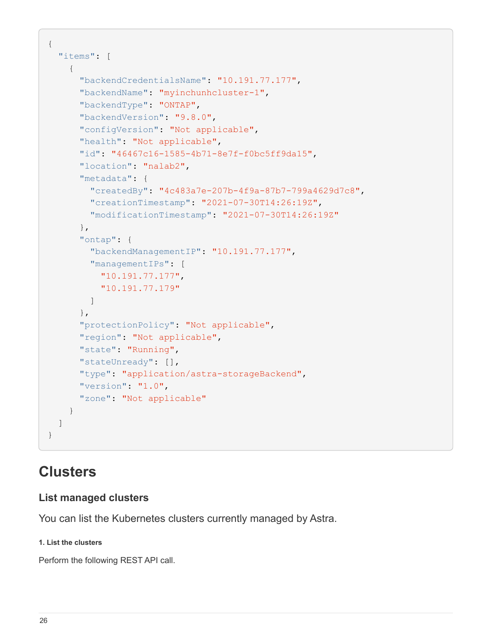```
{
    "items": [
      {
        "backendCredentialsName": "10.191.77.177",
        "backendName": "myinchunhcluster-1",
        "backendType": "ONTAP",
        "backendVersion": "9.8.0",
        "configVersion": "Not applicable",
        "health": "Not applicable",
        "id": "46467c16-1585-4b71-8e7f-f0bc5ff9da15",
        "location": "nalab2",
        "metadata": {
          "createdBy": "4c483a7e-207b-4f9a-87b7-799a4629d7c8",
          "creationTimestamp": "2021-07-30T14:26:19Z",
          "modificationTimestamp": "2021-07-30T14:26:19Z"
        },
        "ontap": {
          "backendManagementIP": "10.191.77.177",
          "managementIPs": [
            "10.191.77.177",
            "10.191.77.179"
          ]
        },
        "protectionPolicy": "Not applicable",
        "region": "Not applicable",
        "state": "Running",
        "stateUnready": [],
        "type": "application/astra-storageBackend",
        "version": "1.0",
        "zone": "Not applicable"
      }
 \lceil}
```
## <span id="page-28-0"></span>**Clusters**

## **List managed clusters**

You can list the Kubernetes clusters currently managed by Astra.

#### **1. List the clusters**

Perform the following REST API call.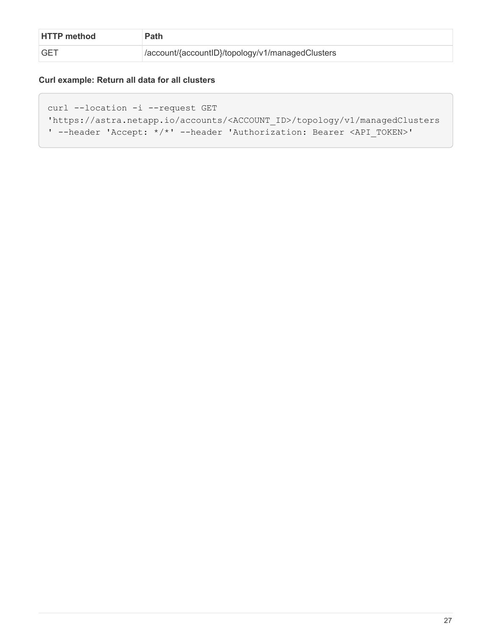| <b>HTTP method</b> | Path                                              |
|--------------------|---------------------------------------------------|
| <b>GET</b>         | //account/{accountID}/topology/v1/managedClusters |

#### **Curl example: Return all data for all clusters**

```
curl --location -i --request GET
'https://astra.netapp.io/accounts/<ACCOUNT_ID>/topology/v1/managedClusters
' --header 'Accept: */*' --header 'Authorization: Bearer <API_TOKEN>'
```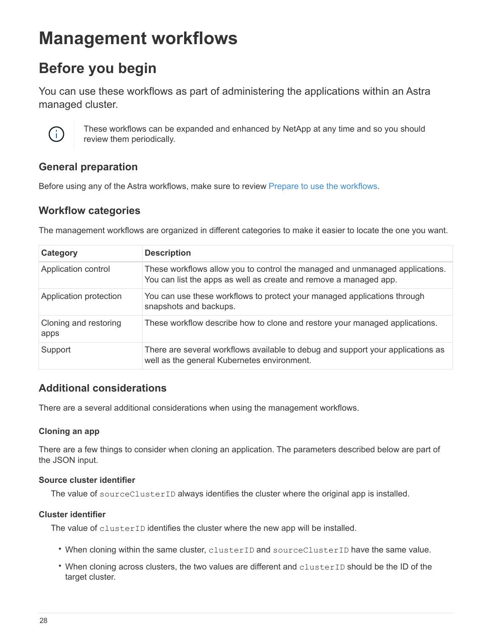# <span id="page-30-0"></span>**Management workflows**

## <span id="page-30-1"></span>**Before you begin**

You can use these workflows as part of administering the applications within an Astra managed cluster.



These workflows can be expanded and enhanced by NetApp at any time and so you should review them periodically.

## **General preparation**

Before using any of the Astra workflows, make sure to review [Prepare to use the workflows.](#page-10-1)

## **Workflow categories**

The management workflows are organized in different categories to make it easier to locate the one you want.

| Category                      | <b>Description</b>                                                                                                                                |
|-------------------------------|---------------------------------------------------------------------------------------------------------------------------------------------------|
| Application control           | These workflows allow you to control the managed and unmanaged applications.<br>You can list the apps as well as create and remove a managed app. |
| Application protection        | You can use these workflows to protect your managed applications through<br>snapshots and backups.                                                |
| Cloning and restoring<br>apps | These workflow describe how to clone and restore your managed applications.                                                                       |
| Support                       | There are several workflows available to debug and support your applications as<br>well as the general Kubernetes environment.                    |

## **Additional considerations**

There are a several additional considerations when using the management workflows.

#### **Cloning an app**

There are a few things to consider when cloning an application. The parameters described below are part of the JSON input.

#### **Source cluster identifier**

The value of sourceClusterID always identifies the cluster where the original app is installed.

#### **Cluster identifier**

The value of clusterID identifies the cluster where the new app will be installed.

- When cloning within the same cluster, clusterID and sourceClusterID have the same value.
- When cloning across clusters, the two values are different and clusterID should be the ID of the target cluster.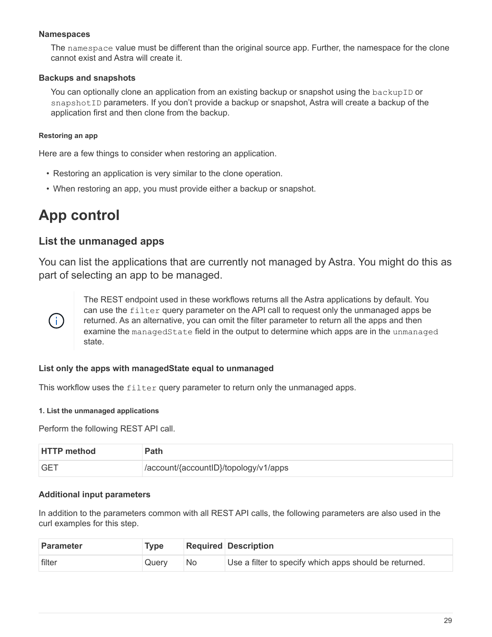#### **Namespaces**

The namespace value must be different than the original source app. Further, the namespace for the clone cannot exist and Astra will create it.

#### **Backups and snapshots**

You can optionally clone an application from an existing backup or snapshot using the backupID or snapshot ID parameters. If you don't provide a backup or snapshot, Astra will create a backup of the application first and then clone from the backup.

#### **Restoring an app**

Here are a few things to consider when restoring an application.

- Restoring an application is very similar to the clone operation.
- When restoring an app, you must provide either a backup or snapshot.

## <span id="page-31-0"></span>**App control**

### <span id="page-31-1"></span>**List the unmanaged apps**

You can list the applications that are currently not managed by Astra. You might do this as part of selecting an app to be managed.



The REST endpoint used in these workflows returns all the Astra applications by default. You can use the filter query parameter on the API call to request only the unmanaged apps be returned. As an alternative, you can omit the filter parameter to return all the apps and then examine the managedState field in the output to determine which apps are in the unmanaged state.

#### **List only the apps with managedState equal to unmanaged**

This workflow uses the filter query parameter to return only the unmanaged apps.

#### **1. List the unmanaged applications**

Perform the following REST API call.

| <b>HTTP method</b> | Path                                  |
|--------------------|---------------------------------------|
| <b>GET</b>         | /account/{accountID}/topology/v1/apps |

#### **Additional input parameters**

In addition to the parameters common with all REST API calls, the following parameters are also used in the curl examples for this step.

| Parameter | <b>Type</b> |     | <b>Required Description</b>                            |
|-----------|-------------|-----|--------------------------------------------------------|
| filter    | Querv       | No. | Use a filter to specify which apps should be returned. |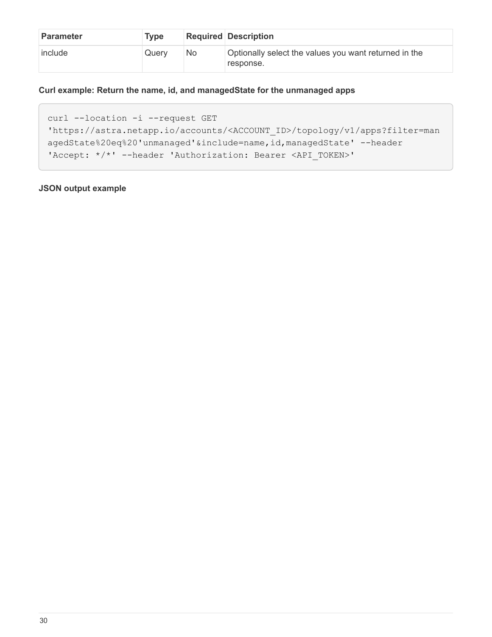| <b>Parameter</b> | <b>Type</b> |    | <b>Required Description</b>                                        |
|------------------|-------------|----|--------------------------------------------------------------------|
| include          | Querv       | No | Optionally select the values you want returned in the<br>response. |

#### **Curl example: Return the name, id, and managedState for the unmanaged apps**

```
curl --location -i --request GET
'https://astra.netapp.io/accounts/<ACCOUNT_ID>/topology/v1/apps?filter=man
agedState%20eq%20'unmanaged'&include=name,id,managedState' --header
'Accept: */*' --header 'Authorization: Bearer <API_TOKEN>'
```
#### **JSON output example**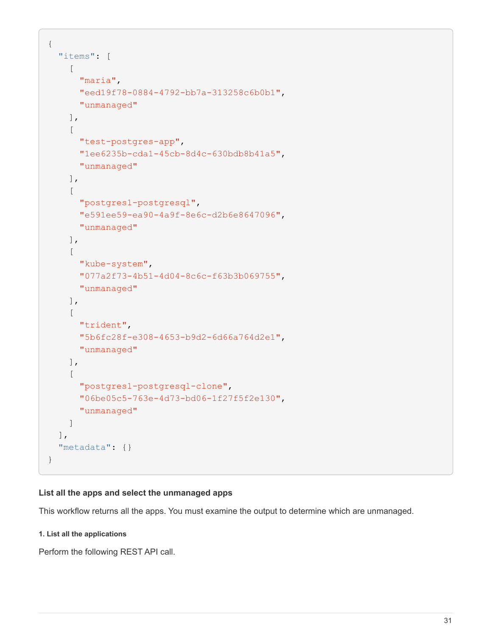```
{
    "items": [
     \lceil  "maria",
         "eed19f78-0884-4792-bb7a-313258c6b0b1",
         "unmanaged"
     \frac{1}{\sqrt{2}}\sqrt{2}  "test-postgres-app",
         "1ee6235b-cda1-45cb-8d4c-630bdb8b41a5",
         "unmanaged"
     \frac{1}{2},
     \sqrt{2}  "postgres1-postgresql",
         "e591ee59-ea90-4a9f-8e6c-d2b6e8647096",
         "unmanaged"
     \frac{1}{2}  [
         "kube-system",
         "077a2f73-4b51-4d04-8c6c-f63b3b069755",
         "unmanaged"
     \frac{1}{\sqrt{2}}\sqrt{2}  "trident",
         "5b6fc28f-e308-4653-b9d2-6d66a764d2e1",
         "unmanaged"
     \frac{1}{\sqrt{2}}\sqrt{2}  "postgres1-postgresql-clone",
         "06be05c5-763e-4d73-bd06-1f27f5f2e130",
         "unmanaged"
       ]
  \vert,
    "metadata": {}
}
```
#### **List all the apps and select the unmanaged apps**

This workflow returns all the apps. You must examine the output to determine which are unmanaged.

#### **1. List all the applications**

Perform the following REST API call.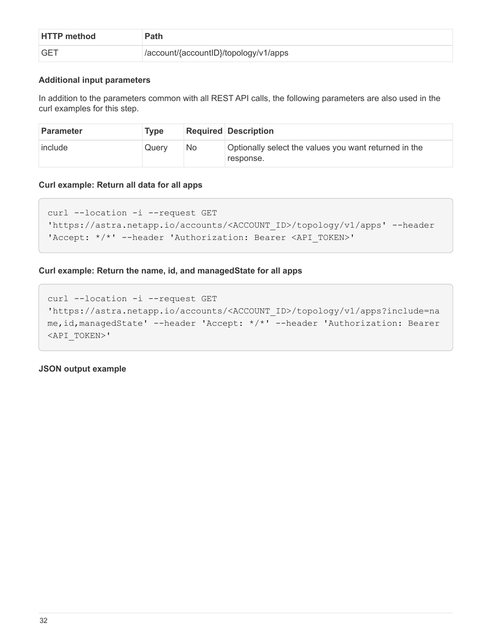| <b>HTTP method</b> | Path                                  |
|--------------------|---------------------------------------|
| <b>GET</b>         | /account/{accountID}/topology/v1/apps |

#### **Additional input parameters**

In addition to the parameters common with all REST API calls, the following parameters are also used in the curl examples for this step.

| <b>Parameter</b> | <b>Type</b> |     | Required Description                                               |
|------------------|-------------|-----|--------------------------------------------------------------------|
| include          | Querv       | No. | Optionally select the values you want returned in the<br>response. |

#### **Curl example: Return all data for all apps**

```
curl --location -i --request GET
'https://astra.netapp.io/accounts/<ACCOUNT_ID>/topology/v1/apps' --header
'Accept: */*' --header 'Authorization: Bearer <API_TOKEN>'
```
#### **Curl example: Return the name, id, and managedState for all apps**

```
curl --location -i --request GET
'https://astra.netapp.io/accounts/<ACCOUNT_ID>/topology/v1/apps?include=na
me,id,managedState' --header 'Accept: */*' --header 'Authorization: Bearer
<API_TOKEN>'
```
**JSON output example**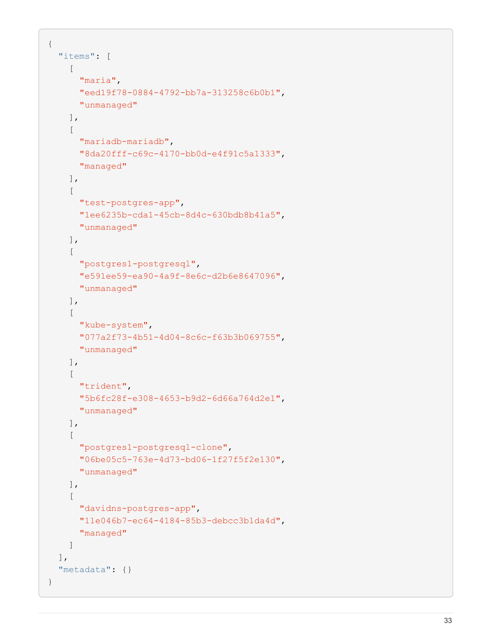```
{
    "items": [
     \lceil  "maria",
         "eed19f78-0884-4792-bb7a-313258c6b0b1",
         "unmanaged"
     \frac{1}{\sqrt{2}}\sqrt{2}  "mariadb-mariadb",
         "8da20fff-c69c-4170-bb0d-e4f91c5a1333",
         "managed"
     \frac{1}{2}\sqrt{ }  "test-postgres-app",
         "1ee6235b-cda1-45cb-8d4c-630bdb8b41a5",
         "unmanaged"
     \frac{1}{2}  [
         "postgres1-postgresql",
         "e591ee59-ea90-4a9f-8e6c-d2b6e8647096",
         "unmanaged"
     \frac{1}{2}\sqrt{2}  "kube-system",
         "077a2f73-4b51-4d04-8c6c-f63b3b069755",
         "unmanaged"
     \frac{1}{\sqrt{2}}\sqrt{ }  "trident",
         "5b6fc28f-e308-4653-b9d2-6d66a764d2e1",
         "unmanaged"
     \frac{1}{2}\lceil  "postgres1-postgresql-clone",
         "06be05c5-763e-4d73-bd06-1f27f5f2e130",
         "unmanaged"
     \frac{1}{2},
     \sqrt{2}  "davidns-postgres-app",
         "11e046b7-ec64-4184-85b3-debcc3b1da4d",
         "managed"
      ]
  \frac{1}{2}  "metadata": {}
}
```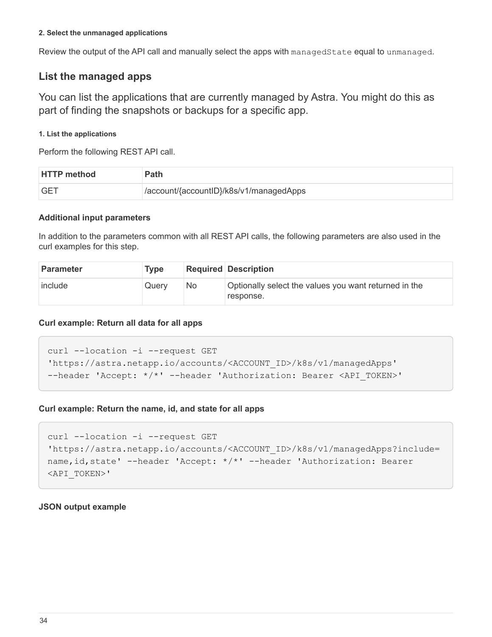#### **2. Select the unmanaged applications**

Review the output of the API call and manually select the apps with managedState equal to unmanaged.

### <span id="page-36-0"></span>**List the managed apps**

You can list the applications that are currently managed by Astra. You might do this as part of finding the snapshots or backups for a specific app.

#### **1. List the applications**

Perform the following REST API call.

| <b>HTTP method</b> | Path                                     |
|--------------------|------------------------------------------|
| <b>GET</b>         | //account/{accountID}/k8s/v1/managedApps |

#### **Additional input parameters**

In addition to the parameters common with all REST API calls, the following parameters are also used in the curl examples for this step.

| <b>Parameter</b> | Type  |     | <b>Required Description</b>                                        |
|------------------|-------|-----|--------------------------------------------------------------------|
| include          | Querv | No. | Optionally select the values you want returned in the<br>response. |

#### **Curl example: Return all data for all apps**

```
curl --location -i --request GET
'https://astra.netapp.io/accounts/<ACCOUNT_ID>/k8s/v1/managedApps'
--header 'Accept: */*' --header 'Authorization: Bearer <API TOKEN>'
```
#### **Curl example: Return the name, id, and state for all apps**

```
curl --location -i --request GET
'https://astra.netapp.io/accounts/<ACCOUNT_ID>/k8s/v1/managedApps?include=
name,id,state' --header 'Accept: */*' --header 'Authorization: Bearer
<API_TOKEN>'
```
#### **JSON output example**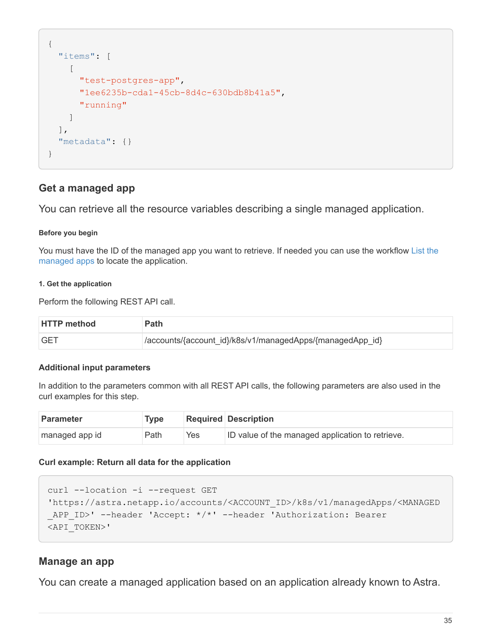```
{
    "items": [
     \lceil  "test-postgres-app",
         "1ee6235b-cda1-45cb-8d4c-630bdb8b41a5",
         "running"
       ]
  \frac{1}{2}  "metadata": {}
}
```
## **Get a managed app**

You can retrieve all the resource variables describing a single managed application.

#### **Before you begin**

You must have the ID of the managed app you want to retrieve. If needed you can use the workflow [List the](#page-36-0) [managed apps](#page-36-0) to locate the application.

#### **1. Get the application**

Perform the following REST API call.

| <b>HTTP</b> method | <b>Path</b>                                               |
|--------------------|-----------------------------------------------------------|
| <b>GET</b>         | /accounts/{account_id}/k8s/v1/managedApps/{managedApp_id} |

#### **Additional input parameters**

In addition to the parameters common with all REST API calls, the following parameters are also used in the curl examples for this step.

| <b>Parameter</b> | <b>Type</b> |     | <b>Required Description</b>                      |
|------------------|-------------|-----|--------------------------------------------------|
| managed app id   | Path        | Yes | ID value of the managed application to retrieve. |

#### **Curl example: Return all data for the application**

```
curl --location -i --request GET
'https://astra.netapp.io/accounts/<ACCOUNT_ID>/k8s/v1/managedApps/<MANAGED
APP ID>' --header 'Accept: */*' --header 'Authorization: Bearer
<API_TOKEN>'
```
### **Manage an app**

You can create a managed application based on an application already known to Astra.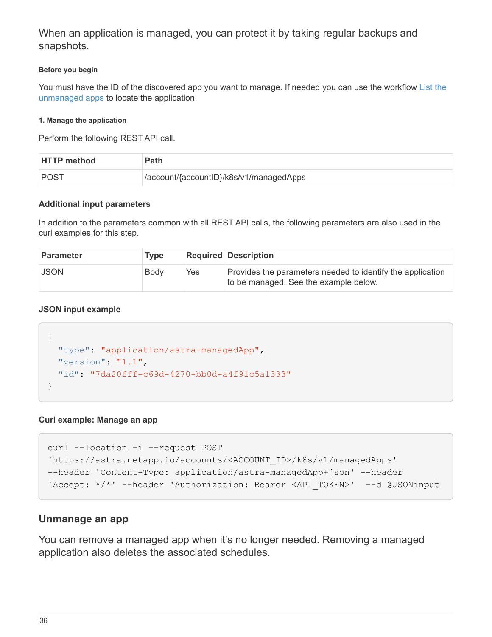When an application is managed, you can protect it by taking regular backups and snapshots.

#### **Before you begin**

You must have the ID of the discovered app you want to manage. If needed you can use the workflow [List the](#page-31-1) [unmanaged apps](#page-31-1) to locate the application.

#### **1. Manage the application**

Perform the following REST API call.

| <b>HTTP method</b> | Path                                    |
|--------------------|-----------------------------------------|
| <b>POST</b>        | /account/{accountID}/k8s/v1/managedApps |

#### **Additional input parameters**

In addition to the parameters common with all REST API calls, the following parameters are also used in the curl examples for this step.

| <b>Parameter</b> | <b>Type</b> |     | <b>Required Description</b>                                                                         |
|------------------|-------------|-----|-----------------------------------------------------------------------------------------------------|
| <b>JSON</b>      | Body        | Yes | Provides the parameters needed to identify the application<br>to be managed. See the example below. |

#### **JSON input example**

```
{
   "type": "application/astra-managedApp",
   "version": "1.1",
   "id": "7da20fff-c69d-4270-bb0d-a4f91c5a1333"
}
```
#### **Curl example: Manage an app**

```
curl --location -i --request POST
'https://astra.netapp.io/accounts/<ACCOUNT_ID>/k8s/v1/managedApps'
--header 'Content-Type: application/astra-managedApp+json' --header
'Accept: */*' --header 'Authorization: Bearer <API TOKEN>' --d @JSONinput
```
#### <span id="page-38-0"></span>**Unmanage an app**

You can remove a managed app when it's no longer needed. Removing a managed application also deletes the associated schedules.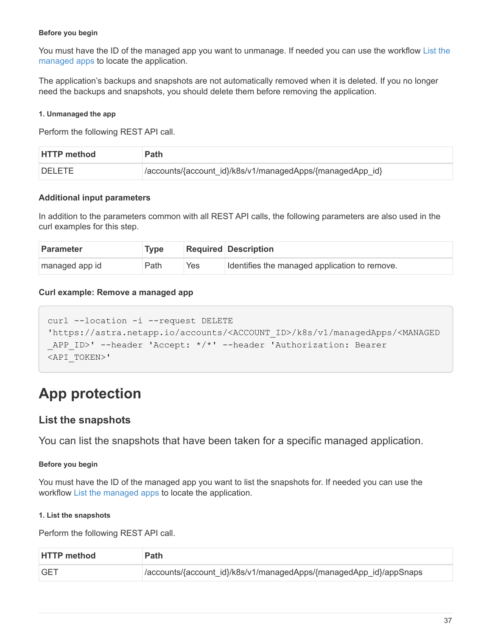#### **Before you begin**

You must have the ID of the managed app you want to unmanage. If needed you can use the workflow [List the](#page-36-0) [managed apps](#page-36-0) to locate the application.

The application's backups and snapshots are not automatically removed when it is deleted. If you no longer need the backups and snapshots, you should delete them before removing the application.

#### **1. Unmanaged the app**

Perform the following REST API call.

| <b>HTTP method</b> | <b>Path</b>                                               |
|--------------------|-----------------------------------------------------------|
| <b>DELETE</b>      | /accounts/{account_id}/k8s/v1/managedApps/{managedApp_id} |

#### **Additional input parameters**

In addition to the parameters common with all REST API calls, the following parameters are also used in the curl examples for this step.

| <b>Parameter</b> | <b>Type</b> |     | <b>Required Description</b>                   |
|------------------|-------------|-----|-----------------------------------------------|
| managed app id   | Path        | Yes | Identifies the managed application to remove. |

#### **Curl example: Remove a managed app**

```
curl --location -i --request DELETE
'https://astra.netapp.io/accounts/<ACCOUNT_ID>/k8s/v1/managedApps/<MANAGED
APP ID>' --header 'Accept: */*' --header 'Authorization: Bearer
<API_TOKEN>'
```
## <span id="page-39-0"></span>**App protection**

#### <span id="page-39-1"></span>**List the snapshots**

You can list the snapshots that have been taken for a specific managed application.

#### **Before you begin**

You must have the ID of the managed app you want to list the snapshots for. If needed you can use the workflow [List the managed apps](#page-36-0) to locate the application.

#### **1. List the snapshots**

Perform the following REST API call.

| <b>HTTP method</b> | <b>Path</b>                                                         |
|--------------------|---------------------------------------------------------------------|
| <b>GET</b>         | //accounts/{account_id}/k8s/v1/managedApps/{managedApp_id}/appSnaps |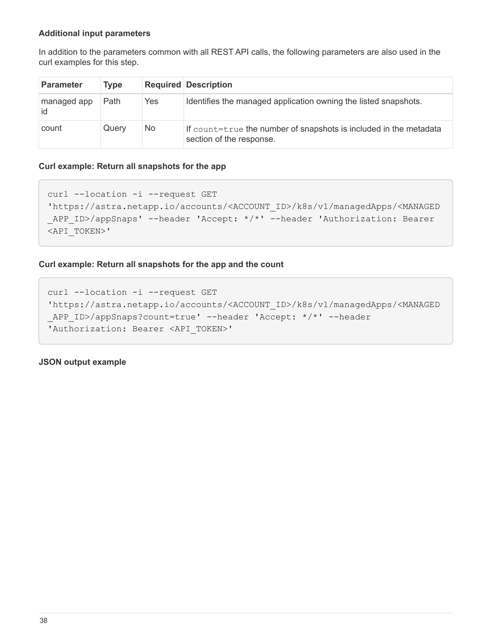#### **Additional input parameters**

In addition to the parameters common with all REST API calls, the following parameters are also used in the curl examples for this step.

| <b>Parameter</b>   | <b>Type</b> |     | <b>Required Description</b>                                                                   |
|--------------------|-------------|-----|-----------------------------------------------------------------------------------------------|
| managed app<br>id. | Path        | Yes | Identifies the managed application owning the listed snapshots.                               |
| count              | Query       | No  | If count=true the number of snapshots is included in the metadata<br>section of the response. |

#### **Curl example: Return all snapshots for the app**

```
curl --location -i --request GET
'https://astra.netapp.io/accounts/<ACCOUNT_ID>/k8s/v1/managedApps/<MANAGED
_APP_ID>/appSnaps' --header 'Accept: */*' --header 'Authorization: Bearer
<API_TOKEN>'
```
#### **Curl example: Return all snapshots for the app and the count**

```
curl --location -i --request GET
'https://astra.netapp.io/accounts/<ACCOUNT_ID>/k8s/v1/managedApps/<MANAGED
_APP_ID>/appSnaps?count=true' --header 'Accept: */*' --header
'Authorization: Bearer <API_TOKEN>'
```
**JSON output example**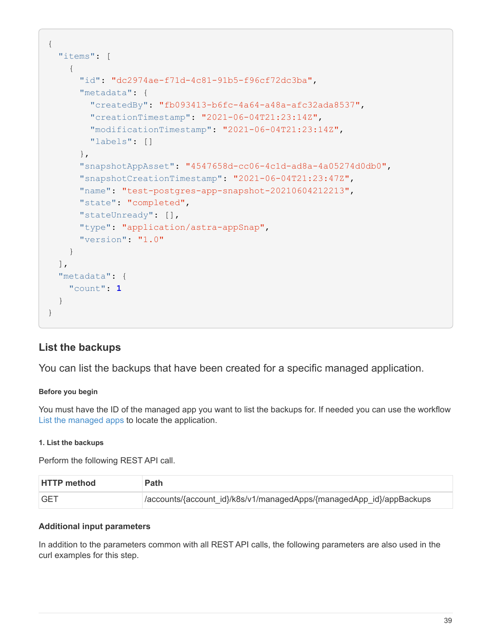```
{
    "items": [
      {
        "id": "dc2974ae-f71d-4c81-91b5-f96cf72dc3ba",
        "metadata": {
           "createdBy": "fb093413-b6fc-4a64-a48a-afc32ada8537",
           "creationTimestamp": "2021-06-04T21:23:14Z",
           "modificationTimestamp": "2021-06-04T21:23:14Z",
           "labels": []
        },
        "snapshotAppAsset": "4547658d-cc06-4c1d-ad8a-4a05274d0db0",
        "snapshotCreationTimestamp": "2021-06-04T21:23:47Z",
        "name": "test-postgres-app-snapshot-20210604212213",
        "state": "completed",
        "stateUnready": [],
        "type": "application/astra-appSnap",
        "version": "1.0"
      }
  \frac{1}{2},
    "metadata": {
      "count": 1
    }
}
```
## <span id="page-41-0"></span>**List the backups**

You can list the backups that have been created for a specific managed application.

#### **Before you begin**

You must have the ID of the managed app you want to list the backups for. If needed you can use the workflow [List the managed apps](#page-36-0) to locate the application.

#### **1. List the backups**

Perform the following REST API call.

| <b>HTTP method</b> | <b>Path</b>                                                          |
|--------------------|----------------------------------------------------------------------|
| <b>GET</b>         | /accounts/{account_id}/k8s/v1/managedApps/{managedApp_id}/appBackups |

#### **Additional input parameters**

In addition to the parameters common with all REST API calls, the following parameters are also used in the curl examples for this step.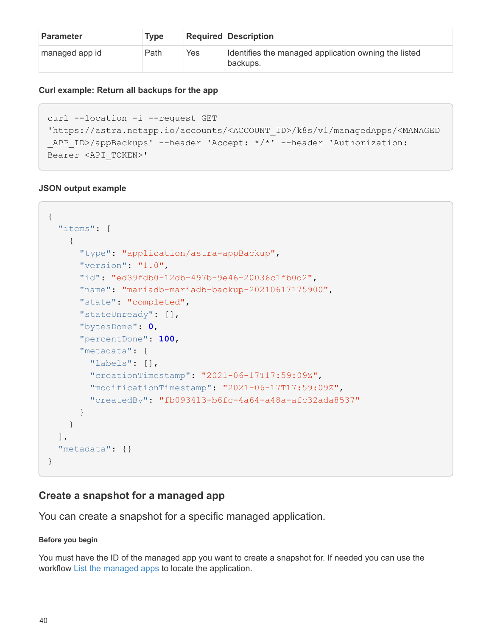| <b>Parameter</b> | <b>Type</b> |     | <b>Required Description</b>                                      |
|------------------|-------------|-----|------------------------------------------------------------------|
| managed app id   | Path        | Yes | Identifies the managed application owning the listed<br>backups. |

#### **Curl example: Return all backups for the app**

```
curl --location -i --request GET
'https://astra.netapp.io/accounts/<ACCOUNT_ID>/k8s/v1/managedApps/<MANAGED
APP ID>/appBackups' --header 'Accept: */*' --header 'Authorization:
Bearer <API_TOKEN>'
```
#### **JSON output example**

```
{
    "items": [
      {
        "type": "application/astra-appBackup",
        "version": "1.0",
        "id": "ed39fdb0-12db-497b-9e46-20036c1fb0d2",
        "name": "mariadb-mariadb-backup-20210617175900",
        "state": "completed",
        "stateUnready": [],
        "bytesDone": 0,
        "percentDone": 100,
        "metadata": {
          "labels": [],
          "creationTimestamp": "2021-06-17T17:59:09Z",
          "modificationTimestamp": "2021-06-17T17:59:09Z",
          "createdBy": "fb093413-b6fc-4a64-a48a-afc32ada8537"
  }
      }
  \frac{1}{2}  "metadata": {}
}
```
## **Create a snapshot for a managed app**

You can create a snapshot for a specific managed application.

#### **Before you begin**

You must have the ID of the managed app you want to create a snapshot for. If needed you can use the workflow [List the managed apps](#page-36-0) to locate the application.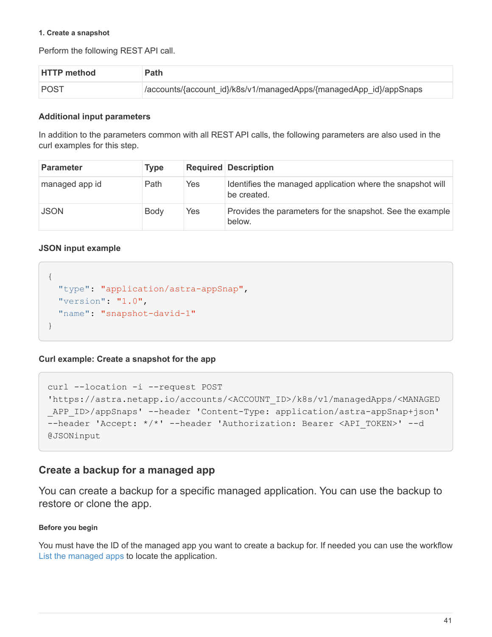#### **1. Create a snapshot**

Perform the following REST API call.

| <b>HTTP method</b> | Path                                                               |
|--------------------|--------------------------------------------------------------------|
| POST               | /accounts/{account_id}/k8s/v1/managedApps/{managedApp_id}/appSnaps |

#### **Additional input parameters**

In addition to the parameters common with all REST API calls, the following parameters are also used in the curl examples for this step.

| <b>Parameter</b> | <b>Type</b> |     | <b>Required Description</b>                                               |
|------------------|-------------|-----|---------------------------------------------------------------------------|
| managed app id   | Path        | Yes | Identifies the managed application where the snapshot will<br>be created. |
| <b>JSON</b>      | Body        | Yes | Provides the parameters for the snapshot. See the example<br>below.       |

#### **JSON input example**

```
{
    "type": "application/astra-appSnap",
    "version": "1.0",
    "name": "snapshot-david-1"
}
```
**Curl example: Create a snapshot for the app**

```
curl --location -i --request POST
'https://astra.netapp.io/accounts/<ACCOUNT_ID>/k8s/v1/managedApps/<MANAGED
_APP_ID>/appSnaps' --header 'Content-Type: application/astra-appSnap+json'
--header 'Accept: */*' --header 'Authorization: Bearer <API TOKEN>' --d
@JSONinput
```
## **Create a backup for a managed app**

You can create a backup for a specific managed application. You can use the backup to restore or clone the app.

#### **Before you begin**

You must have the ID of the managed app you want to create a backup for. If needed you can use the workflow [List the managed apps](#page-36-0) to locate the application.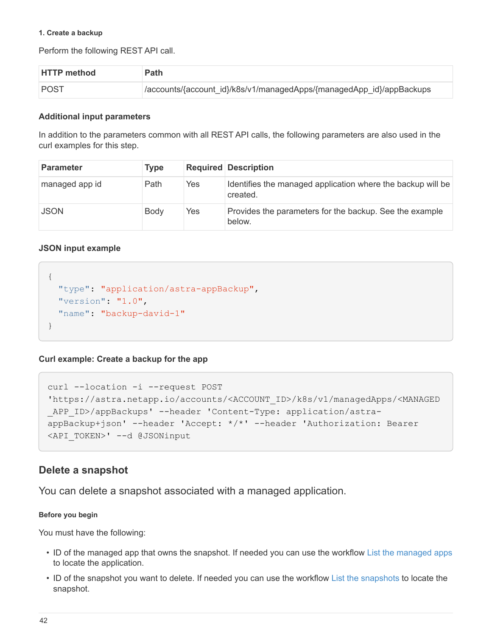#### **1. Create a backup**

Perform the following REST API call.

| <b>HTTP method</b> | <b>Path</b>                                                          |
|--------------------|----------------------------------------------------------------------|
| <b>POST</b>        | /accounts/{account_id}/k8s/v1/managedApps/{managedApp_id}/appBackups |

#### **Additional input parameters**

In addition to the parameters common with all REST API calls, the following parameters are also used in the curl examples for this step.

| <b>Parameter</b> | <b>Type</b> |     | <b>Required Description</b>                                             |
|------------------|-------------|-----|-------------------------------------------------------------------------|
| managed app id   | Path        | Yes | Identifies the managed application where the backup will be<br>created. |
| <b>JSON</b>      | Body        | Yes | Provides the parameters for the backup. See the example<br>below.       |

#### **JSON input example**

```
{
    "type": "application/astra-appBackup",
    "version": "1.0",
    "name": "backup-david-1"
}
```
**Curl example: Create a backup for the app**

```
curl --location -i --request POST
'https://astra.netapp.io/accounts/<ACCOUNT_ID>/k8s/v1/managedApps/<MANAGED
APP ID>/appBackups' --header 'Content-Type: application/astra-
appBackup+json' --header 'Accept: */*' --header 'Authorization: Bearer
<API_TOKEN>' --d @JSONinput
```
### <span id="page-44-0"></span>**Delete a snapshot**

You can delete a snapshot associated with a managed application.

#### **Before you begin**

You must have the following:

- ID of the managed app that owns the snapshot. If needed you can use the workflow [List the managed apps](#page-36-0) to locate the application.
- ID of the snapshot you want to delete. If needed you can use the workflow [List the snapshots](#page-39-1) to locate the snapshot.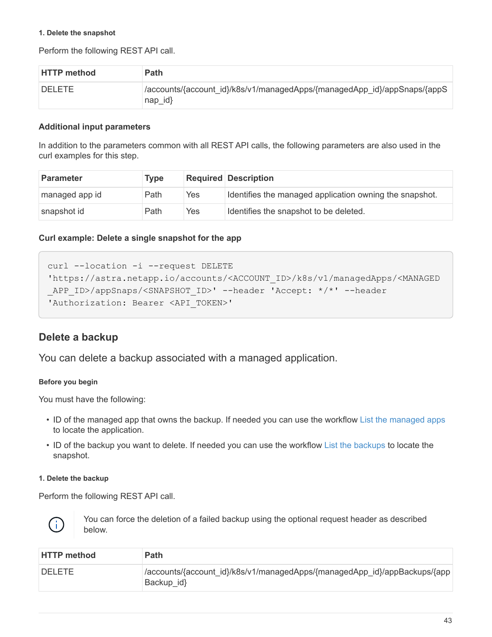#### **1. Delete the snapshot**

Perform the following REST API call.

| <b>HTTP method</b> | <b>Path</b>                                                                               |
|--------------------|-------------------------------------------------------------------------------------------|
| <b>DELETE</b>      | /accounts/{account_id}/k8s/v1/managedApps/{managedApp_id}/appSnaps/{appS<br>$nap$ id $\}$ |

#### **Additional input parameters**

In addition to the parameters common with all REST API calls, the following parameters are also used in the curl examples for this step.

| <b>Parameter</b> | <b>Type</b> |     | <b>Required Description</b>                             |
|------------------|-------------|-----|---------------------------------------------------------|
| managed app id   | Path        | Yes | Identifies the managed application owning the snapshot. |
| snapshot id      | Path        | Yes | Identifies the snapshot to be deleted.                  |

#### **Curl example: Delete a single snapshot for the app**

```
curl --location -i --request DELETE
'https://astra.netapp.io/accounts/<ACCOUNT_ID>/k8s/v1/managedApps/<MANAGED
APP_ID>/appSnaps/<SNAPSHOT_ID>' --header 'Accept: */*' --header
'Authorization: Bearer <API_TOKEN>'
```
### <span id="page-45-0"></span>**Delete a backup**

You can delete a backup associated with a managed application.

#### **Before you begin**

You must have the following:

- ID of the managed app that owns the backup. If needed you can use the workflow [List the managed apps](#page-36-0) to locate the application.
- ID of the backup you want to delete. If needed you can use the workflow [List the backups](#page-41-0) to locate the snapshot.

#### **1. Delete the backup**

Perform the following REST API call.



You can force the deletion of a failed backup using the optional request header as described below.

| <b>HTTP method</b> | <b>Path</b>                                                                               |
|--------------------|-------------------------------------------------------------------------------------------|
| <b>DELETE</b>      | /accounts/{account_id}/k8s/v1/managedApps/{managedApp_id}/appBackups/{app  <br>Backup id} |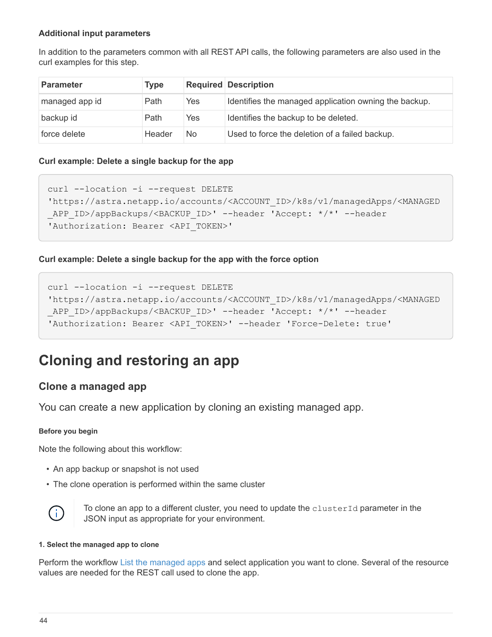#### **Additional input parameters**

In addition to the parameters common with all REST API calls, the following parameters are also used in the curl examples for this step.

| <b>Parameter</b> | <b>Type</b> |           | <b>Required Description</b>                           |
|------------------|-------------|-----------|-------------------------------------------------------|
| managed app id   | Path        | Yes       | Identifies the managed application owning the backup. |
| backup id        | Path        | Yes       | Identifies the backup to be deleted.                  |
| force delete     | Header      | <b>No</b> | Used to force the deletion of a failed backup.        |

#### **Curl example: Delete a single backup for the app**

```
curl --location -i --request DELETE
'https://astra.netapp.io/accounts/<ACCOUNT_ID>/k8s/v1/managedApps/<MANAGED
APP_ID>/appBackups/<BACKUP_ID>' --header 'Accept: */*' --header
'Authorization: Bearer <API_TOKEN>'
```
#### **Curl example: Delete a single backup for the app with the force option**

```
curl --location -i --request DELETE
'https://astra.netapp.io/accounts/<ACCOUNT_ID>/k8s/v1/managedApps/<MANAGED
APP_ID>/appBackups/<BACKUP_ID>' --header 'Accept: */*' --header
'Authorization: Bearer <API TOKEN>' --header 'Force-Delete: true'
```
## <span id="page-46-0"></span>**Cloning and restoring an app**

## **Clone a managed app**

You can create a new application by cloning an existing managed app.

#### **Before you begin**

Note the following about this workflow:

- An app backup or snapshot is not used
- The clone operation is performed within the same cluster



To clone an app to a different cluster, you need to update the clusterId parameter in the JSON input as appropriate for your environment.

#### **1. Select the managed app to clone**

Perform the workflow [List the managed apps](#page-36-0) and select application you want to clone. Several of the resource values are needed for the REST call used to clone the app.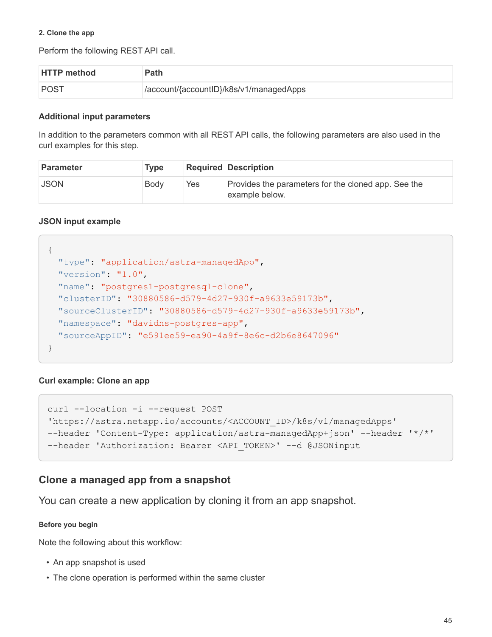#### **2. Clone the app**

Perform the following REST API call.

| <b>HTTP method</b> | Path                                    |
|--------------------|-----------------------------------------|
| POST               | /account/{accountID}/k8s/v1/managedApps |

#### **Additional input parameters**

In addition to the parameters common with all REST API calls, the following parameters are also used in the curl examples for this step.

| <b>Parameter</b> | Type |     | <b>Required Description</b>                                           |
|------------------|------|-----|-----------------------------------------------------------------------|
| <b>JSON</b>      | Body | Yes | Provides the parameters for the cloned app. See the<br>example below. |

#### **JSON input example**

```
{
   "type": "application/astra-managedApp",
    "version": "1.0",
    "name": "postgres1-postgresql-clone",
    "clusterID": "30880586-d579-4d27-930f-a9633e59173b",
    "sourceClusterID": "30880586-d579-4d27-930f-a9633e59173b",
    "namespace": "davidns-postgres-app",
    "sourceAppID": "e591ee59-ea90-4a9f-8e6c-d2b6e8647096"
}
```
#### **Curl example: Clone an app**

```
curl --location -i --request POST
'https://astra.netapp.io/accounts/<ACCOUNT_ID>/k8s/v1/managedApps'
--header 'Content-Type: application/astra-managedApp+json' --header '*/*'
--header 'Authorization: Bearer <API TOKEN>' --d @JSONinput
```
### **Clone a managed app from a snapshot**

You can create a new application by cloning it from an app snapshot.

#### **Before you begin**

Note the following about this workflow:

- An app snapshot is used
- The clone operation is performed within the same cluster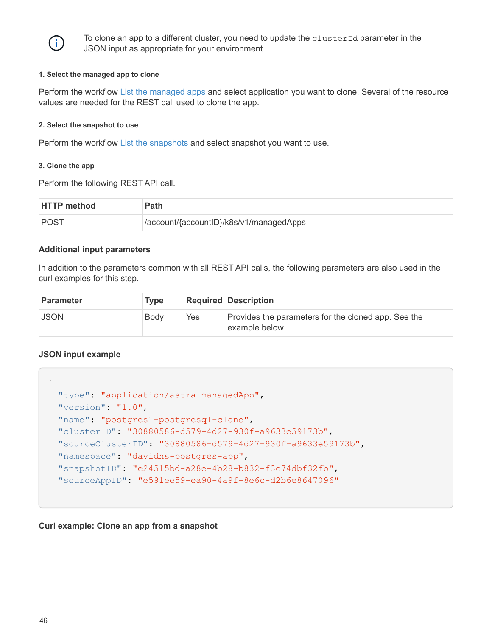

To clone an app to a different cluster, you need to update the clusterId parameter in the JSON input as appropriate for your environment.

#### **1. Select the managed app to clone**

Perform the workflow [List the managed apps](#page-36-0) and select application you want to clone. Several of the resource values are needed for the REST call used to clone the app.

#### **2. Select the snapshot to use**

Perform the workflow [List the snapshots](#page-39-1) and select snapshot you want to use.

#### **3. Clone the app**

Perform the following REST API call.

| <b>HTTP method</b> | Path                                    |
|--------------------|-----------------------------------------|
| <b>POST</b>        | /account/{accountID}/k8s/v1/managedApps |

#### **Additional input parameters**

In addition to the parameters common with all REST API calls, the following parameters are also used in the curl examples for this step.

| <b>Parameter</b> | <b>Type</b> |     | <b>Required Description</b>                                           |
|------------------|-------------|-----|-----------------------------------------------------------------------|
| <b>JSON</b>      | Body        | Yes | Provides the parameters for the cloned app. See the<br>example below. |

#### **JSON input example**

```
{
   "type": "application/astra-managedApp",
   "version": "1.0",
   "name": "postgres1-postgresql-clone",
   "clusterID": "30880586-d579-4d27-930f-a9633e59173b",
   "sourceClusterID": "30880586-d579-4d27-930f-a9633e59173b",
   "namespace": "davidns-postgres-app",
   "snapshotID": "e24515bd-a28e-4b28-b832-f3c74dbf32fb",
   "sourceAppID": "e591ee59-ea90-4a9f-8e6c-d2b6e8647096"
}
```
#### **Curl example: Clone an app from a snapshot**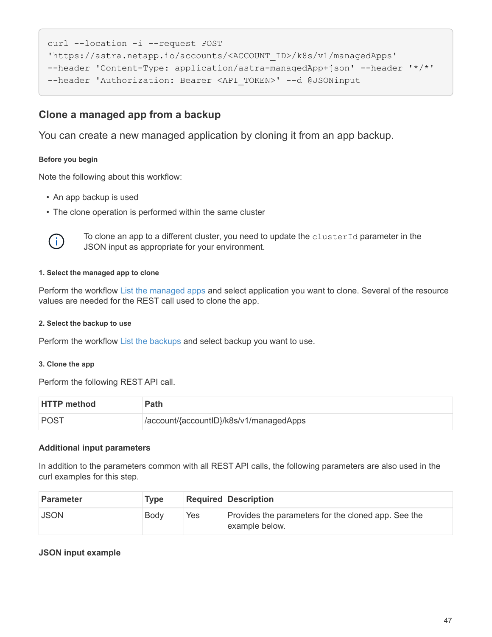```
curl --location -i --request POST
'https://astra.netapp.io/accounts/<ACCOUNT_ID>/k8s/v1/managedApps'
--header 'Content-Type: application/astra-managedApp+json' --header '*/*'
--header 'Authorization: Bearer <API_TOKEN>' --d @JSONinput
```
## **Clone a managed app from a backup**

You can create a new managed application by cloning it from an app backup.

#### **Before you begin**

Note the following about this workflow:

- An app backup is used
- The clone operation is performed within the same cluster



To clone an app to a different cluster, you need to update the clusterId parameter in the JSON input as appropriate for your environment.

#### **1. Select the managed app to clone**

Perform the workflow [List the managed apps](#page-36-0) and select application you want to clone. Several of the resource values are needed for the REST call used to clone the app.

#### **2. Select the backup to use**

Perform the workflow [List the backups](#page-41-0) and select backup you want to use.

#### **3. Clone the app**

Perform the following REST API call.

| <b>HTTP method</b> | Path                                    |
|--------------------|-----------------------------------------|
| POST               | /account/{accountID}/k8s/v1/managedApps |

#### **Additional input parameters**

In addition to the parameters common with all REST API calls, the following parameters are also used in the curl examples for this step.

| Parameter   | <b>Type</b> |     | <b>Required Description</b>                                           |
|-------------|-------------|-----|-----------------------------------------------------------------------|
| <b>JSON</b> | Body        | Yes | Provides the parameters for the cloned app. See the<br>example below. |

#### **JSON input example**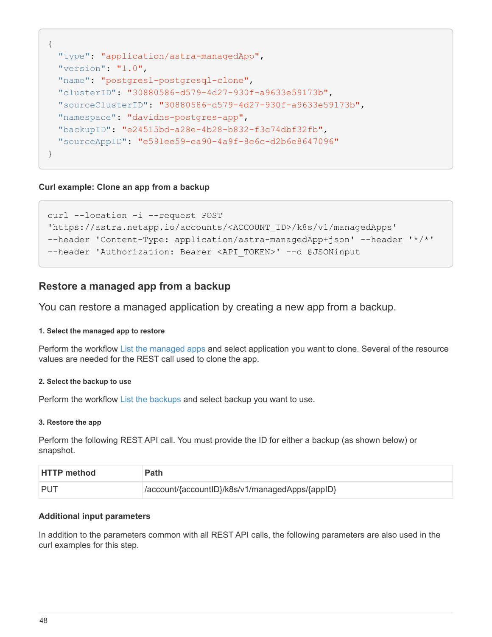```
{
    "type": "application/astra-managedApp",
    "version": "1.0",
    "name": "postgres1-postgresql-clone",
    "clusterID": "30880586-d579-4d27-930f-a9633e59173b",
    "sourceClusterID": "30880586-d579-4d27-930f-a9633e59173b",
    "namespace": "davidns-postgres-app",
    "backupID": "e24515bd-a28e-4b28-b832-f3c74dbf32fb",
    "sourceAppID": "e591ee59-ea90-4a9f-8e6c-d2b6e8647096"
}
```
#### **Curl example: Clone an app from a backup**

```
curl --location -i --request POST
'https://astra.netapp.io/accounts/<ACCOUNT_ID>/k8s/v1/managedApps'
--header 'Content-Type: application/astra-managedApp+json' --header '*/*'
--header 'Authorization: Bearer <API TOKEN>' --d @JSONinput
```
### **Restore a managed app from a backup**

You can restore a managed application by creating a new app from a backup.

#### **1. Select the managed app to restore**

Perform the workflow [List the managed apps](#page-36-0) and select application you want to clone. Several of the resource values are needed for the REST call used to clone the app.

#### **2. Select the backup to use**

Perform the workflow [List the backups](#page-41-0) and select backup you want to use.

#### **3. Restore the app**

Perform the following REST API call. You must provide the ID for either a backup (as shown below) or snapshot.

| <b>HTTP</b> method | <b>Path</b>                                      |
|--------------------|--------------------------------------------------|
| <b>PUT</b>         | //account/{accountID}/k8s/v1/managedApps/{appID} |

#### **Additional input parameters**

In addition to the parameters common with all REST API calls, the following parameters are also used in the curl examples for this step.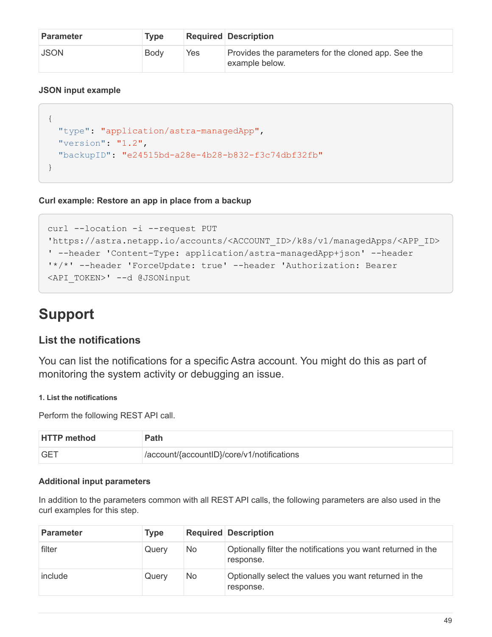| <b>Parameter</b> | <b>Type</b> |     | <b>Required Description</b>                                           |
|------------------|-------------|-----|-----------------------------------------------------------------------|
| <b>JSON</b>      | Body        | Yes | Provides the parameters for the cloned app. See the<br>example below. |

#### **JSON input example**

```
{
    "type": "application/astra-managedApp",
   "version": "1.2",
    "backupID": "e24515bd-a28e-4b28-b832-f3c74dbf32fb"
}
```
#### **Curl example: Restore an app in place from a backup**

```
curl --location -i --request PUT
'https://astra.netapp.io/accounts/<ACCOUNT_ID>/k8s/v1/managedApps/<APP_ID>
' --header 'Content-Type: application/astra-managedApp+json' --header
'*/*' --header 'ForceUpdate: true' --header 'Authorization: Bearer
<API_TOKEN>' --d @JSONinput
```
## <span id="page-51-0"></span>**Support**

### **List the notifications**

You can list the notifications for a specific Astra account. You might do this as part of monitoring the system activity or debugging an issue.

#### **1. List the notifications**

Perform the following REST API call.

| <b>HTTP method</b> | Path                                       |
|--------------------|--------------------------------------------|
| <b>GET</b>         | /account/{accountID}/core/v1/notifications |

#### **Additional input parameters**

In addition to the parameters common with all REST API calls, the following parameters are also used in the curl examples for this step.

| <b>Parameter</b> | <b>Type</b> |     | <b>Required Description</b>                                               |
|------------------|-------------|-----|---------------------------------------------------------------------------|
| filter           | Querv       | No. | Optionally filter the notifications you want returned in the<br>response. |
| include          | Query       | No. | Optionally select the values you want returned in the<br>response.        |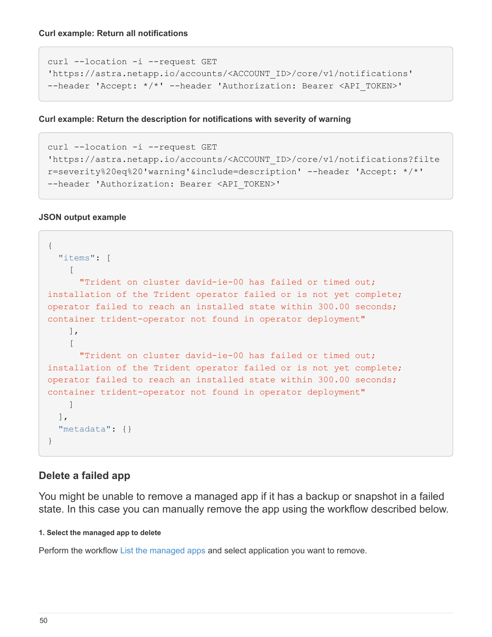**Curl example: Return all notifications**

```
curl --location -i --request GET
'https://astra.netapp.io/accounts/<ACCOUNT_ID>/core/v1/notifications'
--header 'Accept: */*' --header 'Authorization: Bearer <API TOKEN>'
```
**Curl example: Return the description for notifications with severity of warning**

```
curl --location -i --request GET
'https://astra.netapp.io/accounts/<ACCOUNT_ID>/core/v1/notifications?filte
r=severity%20eq%20'warning'&include=description' --header 'Accept: */*'
--header 'Authorization: Bearer <API TOKEN>'
```
#### **JSON output example**

```
{
    "items": [
    \sqrt{2}  "Trident on cluster david-ie-00 has failed or timed out;
installation of the Trident operator failed or is not yet complete;
operator failed to reach an installed state within 300.00 seconds;
container trident-operator not found in operator deployment"
      ],
    \sqrt{ }  "Trident on cluster david-ie-00 has failed or timed out;
installation of the Trident operator failed or is not yet complete;
operator failed to reach an installed state within 300.00 seconds;
container trident-operator not found in operator deployment"
      ]
  \frac{1}{2}  "metadata": {}
}
```
#### **Delete a failed app**

You might be unable to remove a managed app if it has a backup or snapshot in a failed state. In this case you can manually remove the app using the workflow described below.

#### **1. Select the managed app to delete**

Perform the workflow [List the managed apps](#page-36-0) and select application you want to remove.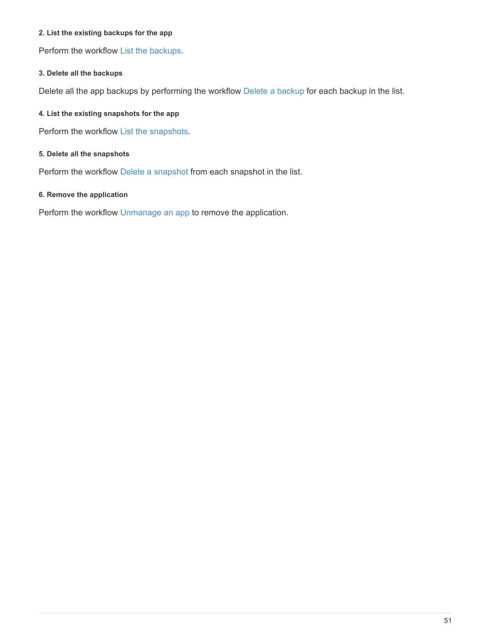#### **2. List the existing backups for the app**

Perform the workflow [List the backups.](#page-41-0)

#### **3. Delete all the backups**

Delete all the app backups by performing the workflow [Delete a backup](#page-45-0) for each backup in the list.

#### **4. List the existing snapshots for the app**

Perform the workflow [List the snapshots](#page-39-1).

#### **5. Delete all the snapshots**

Perform the workflow [Delete a snapshot](#page-44-0) from each snapshot in the list.

#### **6. Remove the application**

Perform the workflow [Unmanage an app](#page-38-0) to remove the application.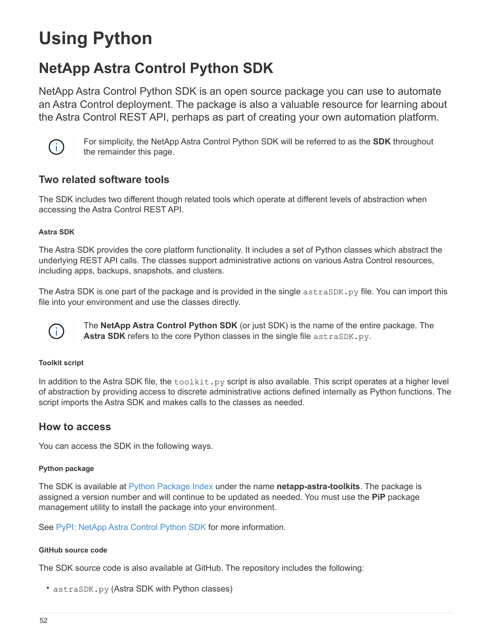# <span id="page-54-0"></span>**Using Python**

## <span id="page-54-1"></span>**NetApp Astra Control Python SDK**

NetApp Astra Control Python SDK is an open source package you can use to automate an Astra Control deployment. The package is also a valuable resource for learning about the Astra Control REST API, perhaps as part of creating your own automation platform.



For simplicity, the NetApp Astra Control Python SDK will be referred to as the **SDK** throughout the remainder this page.

### **Two related software tools**

The SDK includes two different though related tools which operate at different levels of abstraction when accessing the Astra Control REST API.

#### **Astra SDK**

The Astra SDK provides the core platform functionality. It includes a set of Python classes which abstract the underlying REST API calls. The classes support administrative actions on various Astra Control resources, including apps, backups, snapshots, and clusters.

The Astra SDK is one part of the package and is provided in the single astraSDK.py file. You can import this file into your environment and use the classes directly.



The **NetApp Astra Control Python SDK** (or just SDK) is the name of the entire package. The Astra SDK refers to the core Python classes in the single file astraSDK.py.

#### **Toolkit script**

In addition to the Astra SDK file, the  $t \circ \text{right}$  script is also available. This script operates at a higher level of abstraction by providing access to discrete administrative actions defined internally as Python functions. The script imports the Astra SDK and makes calls to the classes as needed.

### **How to access**

You can access the SDK in the following ways.

#### **Python package**

The SDK is available at [Python Package Index](https://pypi.org/) under the name **netapp-astra-toolkits**. The package is assigned a version number and will continue to be updated as needed. You must use the **PiP** package management utility to install the package into your environment.

See [PyPI: NetApp Astra Control Python SDK](https://pypi.org/project/netapp-astra-toolkits/) for more information.

#### **GitHub source code**

The SDK source code is also available at GitHub. The repository includes the following:

• astraSDK.py (Astra SDK with Python classes)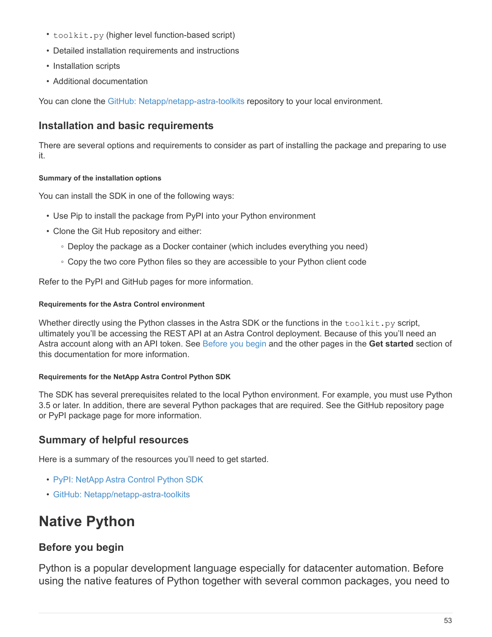- toolkit.py (higher level function-based script)
- Detailed installation requirements and instructions
- Installation scripts
- Additional documentation

You can clone the [GitHub: Netapp/netapp-astra-toolkits](https://github.com/NetApp/netapp-astra-toolkits) repository to your local environment.

### **Installation and basic requirements**

There are several options and requirements to consider as part of installing the package and preparing to use it.

#### **Summary of the installation options**

You can install the SDK in one of the following ways:

- Use Pip to install the package from PyPI into your Python environment
- Clone the Git Hub repository and either:
	- Deploy the package as a Docker container (which includes everything you need)
	- Copy the two core Python files so they are accessible to your Python client code

Refer to the PyPI and GitHub pages for more information.

#### **Requirements for the Astra Control environment**

Whether directly using the Python classes in the Astra SDK or the functions in the  $\text{to}$  olkit.py script, ultimately you'll be accessing the REST API at an Astra Control deployment. Because of this you'll need an Astra account along with an API token. See [Before you begin](#page-9-1) and the other pages in the **Get started** section of this documentation for more information.

#### **Requirements for the NetApp Astra Control Python SDK**

The SDK has several prerequisites related to the local Python environment. For example, you must use Python 3.5 or later. In addition, there are several Python packages that are required. See the GitHub repository page or PyPI package page for more information.

## **Summary of helpful resources**

Here is a summary of the resources you'll need to get started.

- [PyPI: NetApp Astra Control Python SDK](https://pypi.org/project/netapp-astra-toolkits/)
- [GitHub: Netapp/netapp-astra-toolkits](https://github.com/NetApp/netapp-astra-toolkits)

## <span id="page-55-0"></span>**Native Python**

## <span id="page-55-1"></span>**Before you begin**

Python is a popular development language especially for datacenter automation. Before using the native features of Python together with several common packages, you need to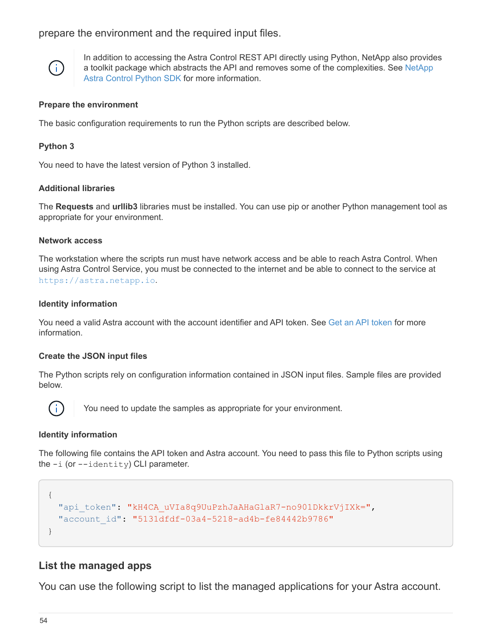prepare the environment and the required input files.



In addition to accessing the Astra Control REST API directly using Python, NetApp also provides a toolkit package which abstracts the API and removes some of the complexities. See [NetApp](#page-54-1) [Astra Control Python SDK](#page-54-1) for more information.

#### **Prepare the environment**

The basic configuration requirements to run the Python scripts are described below.

#### **Python 3**

You need to have the latest version of Python 3 installed.

#### **Additional libraries**

The **Requests** and **urllib3** libraries must be installed. You can use pip or another Python management tool as appropriate for your environment.

#### **Network access**

The workstation where the scripts run must have network access and be able to reach Astra Control. When using Astra Control Service, you must be connected to the internet and be able to connect to the service at <https://astra.netapp.io>.

#### **Identity information**

You need a valid Astra account with the account identifier and API token. See [Get an API token](#page-9-2) for more information.

#### **Create the JSON input files**

The Python scripts rely on configuration information contained in JSON input files. Sample files are provided below.



You need to update the samples as appropriate for your environment.

#### **Identity information**

The following file contains the API token and Astra account. You need to pass this file to Python scripts using the  $-i$  (or  $-i$  dentity) CLI parameter.

```
{
  "api token": "kH4CA uVIa8q9UuPzhJaAHaGlaR7-no901DkkrVjIXk=",
    "account_id": "5131dfdf-03a4-5218-ad4b-fe84442b9786"
}
```
### **List the managed apps**

You can use the following script to list the managed applications for your Astra account.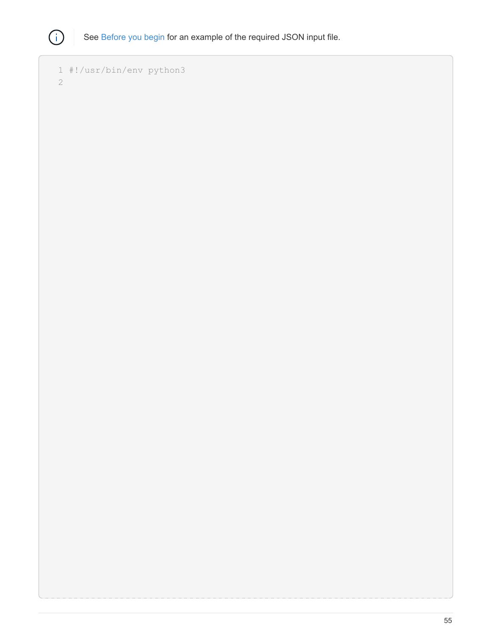

```
  1 #!/usr/bin/env python3
  2
```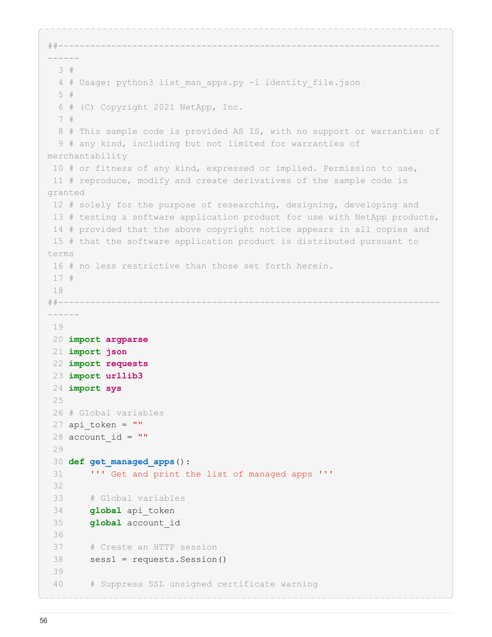```
##------------------------------------------------------------------------
------
    3 #
    4 # Usage: python3 list_man_apps.py -i identity_file.json
    5 #
    6 # (C) Copyright 2021 NetApp, Inc.
    7 #
    8 # This sample code is provided AS IS, with no support or warranties of
    9 # any kind, including but not limited for warranties of
merchantability
  10 # or fitness of any kind, expressed or implied. Permission to use,
  11 # reproduce, modify and create derivatives of the sample code is
granted
  12 # solely for the purpose of researching, designing, developing and
  13 # testing a software application product for use with NetApp products,
  14 # provided that the above copyright notice appears in all copies and
  15 # that the software application product is distributed pursuant to
terms
  16 # no less restrictive than those set forth herein.
  17 #
  18
##------------------------------------------------------------------------
------
  19 
  20 import argparse
  21 import json
  22 import requests
  23 import urllib3
  24 import sys
  25 
  26 # Global variables
 27 api token = ""
 28 account id = "" 29 
  30 def get_managed_apps():
  31 ''' Get and print the list of managed apps '''
  32 
  33 # Global variables
  34 global api_token
  35 global account_id
  36 
  37 # Create an HTTP session
  38 sess1 = requests.Session()
  39 
  40 # Suppress SSL unsigned certificate warning
```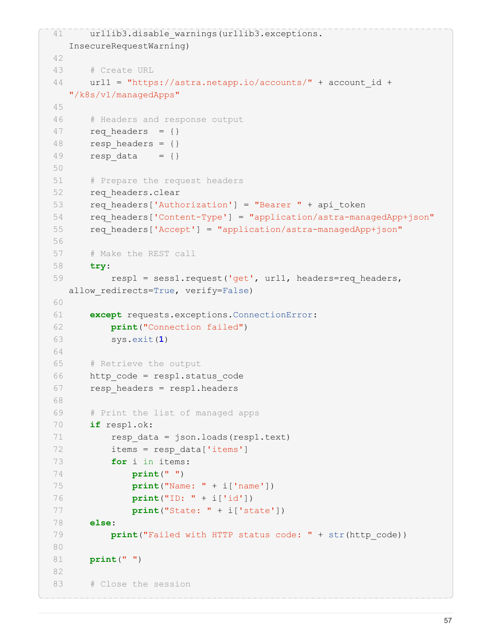```
41 urllib3.disable warnings(urllib3.exceptions.
    InsecureRequestWarning)
 42 
 43 # Create URL
 44 url1 = "https://astra.netapp.io/accounts/" + account_id +
   "/k8s/v1/managedApps"
 45 
 46 # Headers and response output
47 req headers = \{\}48 resp headers = {}
49 resp data = {}{}
 50 
 51 # Prepare the request headers
52 req headers.clear
53 req headers['Authorization'] = "Bearer " + api token
 54 req_headers['Content-Type'] = "application/astra-managedApp+json"
 55 req_headers['Accept'] = "application/astra-managedApp+json"
 56 
 57 # Make the REST call
 58 try:
59 resp1 = sess1.request('get', url1, headers=req_headers,
  allow redirects=True, verify=False)
 60 
 61 except requests.exceptions.ConnectionError:
 62 print("Connection failed")
 63 sys.exit(1)
 64 
 65 # Retrieve the output
 66 http_code = resp1.status_code
 67 resp_headers = resp1.headers
 68 
 69 # Print the list of managed apps
 70 if resp1.ok:
71 resp data = json.loads(resp1.text)
 72 items = resp_data['items']
 73 for i in items:
 74 print(" ")
 75 print("Name: " + i['name'])
 76 print("ID: " + i['id'])
 77 print("State: " + i['state'])
 78 else:
79 print("Failed with HTTP status code: " + str(http code))
 80 
 81 print(" ")
 82 
83 # Close the session
```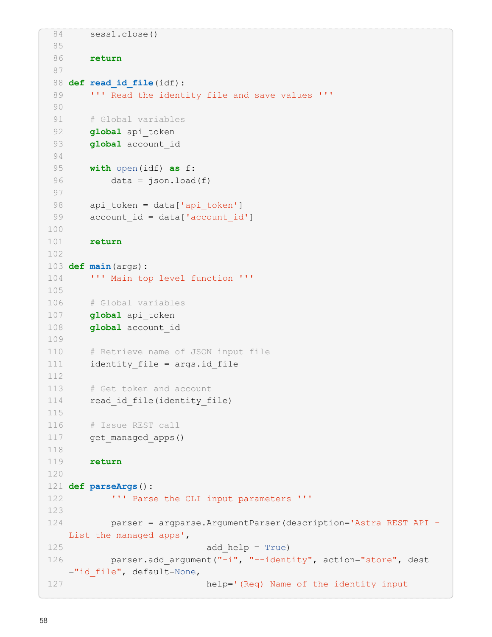```
 84 sess1.close()
  85 
  86 return
  87 
  88 def read_id_file(idf):
 89 ''' Read the identity file and save values '''
  90 
  91 # Global variables
 92 global api token
 93 global account id
  94 
  95 with open(idf) as f:
 96 data = json.load(f)
  97 
 98 api token = data['api token']
99 account id = data['account id']
100 
101 return
102 
103 def main(args):
104 ''' Main top level function '''
105 
106 # Global variables
107 global api_token
108 global account_id
109 
110 # Retrieve name of JSON input file
111 identity file = args.id file
112 
113 # Get token and account
114 read id file(identity file)
115 
116 # Issue REST call
117 get_managed_apps()
118 
119 return
120 
121 def parseArgs():
122 ''' Parse the CLI input parameters '''
123 
124 parser = argparse.ArgumentParser(description='Astra REST API -
  List the managed apps',
125 add help = True)
126 parser.add argument("-i", "--identity", action="store", dest
     ="id_file", default=None,
127 help='(Req) Name of the identity input
```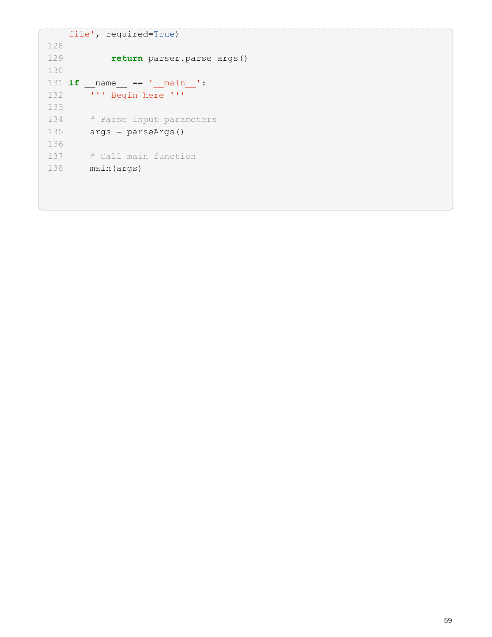```
  file', required=True)
128 
129 return parser.parse_args()
130 
131 if __name__ == '__main__':
132 ''' Begin here '''
133 
134 # Parse input parameters
135 \qquad \qquad \text{args} = \text{parseArgs}()136 
137 # Call main function
138 main(args)
```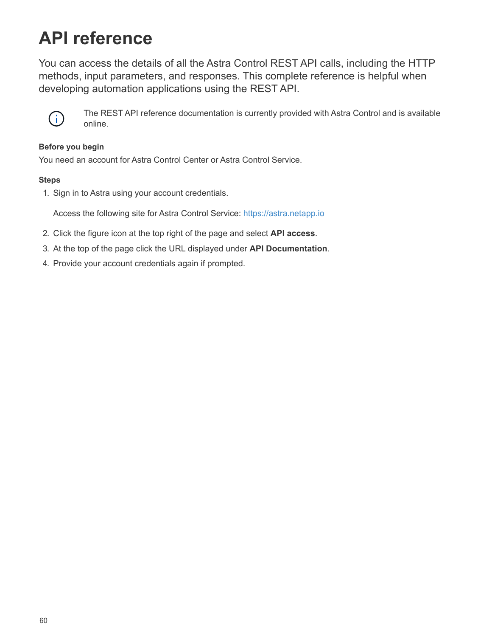# <span id="page-62-0"></span>**API reference**

You can access the details of all the Astra Control REST API calls, including the HTTP methods, input parameters, and responses. This complete reference is helpful when developing automation applications using the REST API.



The REST API reference documentation is currently provided with Astra Control and is available online.

#### **Before you begin**

You need an account for Astra Control Center or Astra Control Service.

#### **Steps**

1. Sign in to Astra using your account credentials.

Access the following site for Astra Control Service: <https://astra.netapp.io>

- 2. Click the figure icon at the top right of the page and select **API access**.
- 3. At the top of the page click the URL displayed under **API Documentation**.
- 4. Provide your account credentials again if prompted.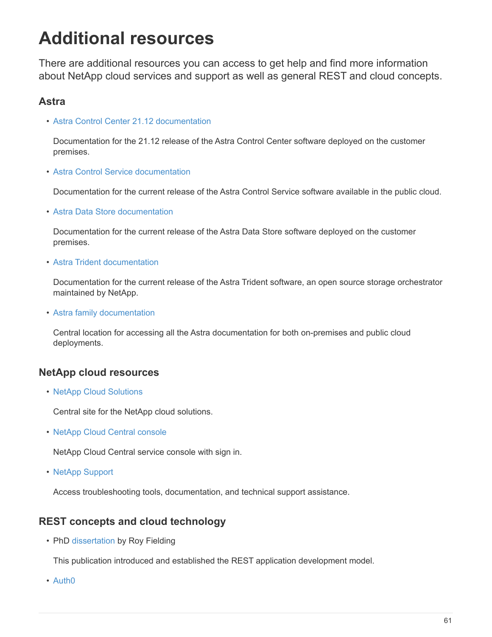# <span id="page-63-0"></span>**Additional resources**

There are additional resources you can access to get help and find more information about NetApp cloud services and support as well as general REST and cloud concepts.

## **Astra**

• [Astra Control Center 21.12 documentation](https://docs.netapp.com/us-en/astra-control-center-2112/)

Documentation for the 21.12 release of the Astra Control Center software deployed on the customer premises.

• [Astra Control Service documentation](https://docs.netapp.com/us-en/astra-control-service/)

Documentation for the current release of the Astra Control Service software available in the public cloud.

• [Astra Data Store documentation](https://docs.netapp.com/us-en/astra-data-store/)

Documentation for the current release of the Astra Data Store software deployed on the customer premises.

• [Astra Trident documentation](https://docs.netapp.com/us-en/trident/)

Documentation for the current release of the Astra Trident software, an open source storage orchestrator maintained by NetApp.

• [Astra family documentation](https://docs.netapp.com/us-en/astra-family/)

Central location for accessing all the Astra documentation for both on-premises and public cloud deployments.

## **NetApp cloud resources**

• [NetApp Cloud Solutions](https://cloud.netapp.com/)

Central site for the NetApp cloud solutions.

• [NetApp Cloud Central console](https://services.cloud.netapp.com/redirect-to-login?startOnSignup=false)

NetApp Cloud Central service console with sign in.

• [NetApp Support](https://mysupport.netapp.com/)

Access troubleshooting tools, documentation, and technical support assistance.

## **REST concepts and cloud technology**

• PhD [dissertation](https://www.ics.uci.edu/~fielding/pubs/dissertation/top.htm) by Roy Fielding

This publication introduced and established the REST application development model.

• [Auth0](https://auth0.com/)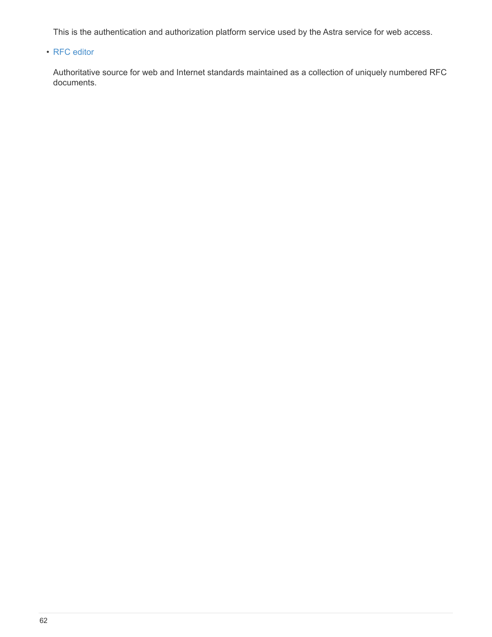This is the authentication and authorization platform service used by the Astra service for web access.

#### • [RFC editor](https://www.rfc-editor.org/)

Authoritative source for web and Internet standards maintained as a collection of uniquely numbered RFC documents.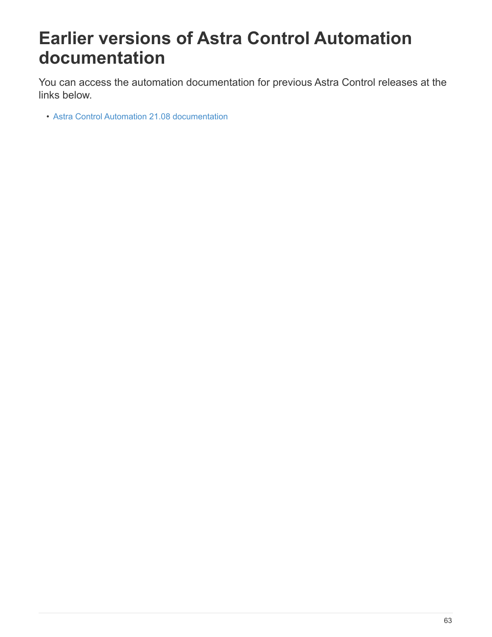# <span id="page-65-0"></span>**Earlier versions of Astra Control Automation documentation**

You can access the automation documentation for previous Astra Control releases at the links below.

• [Astra Control Automation 21.08 documentation](https://docs.netapp.com/us-en/astra-automation-2108/)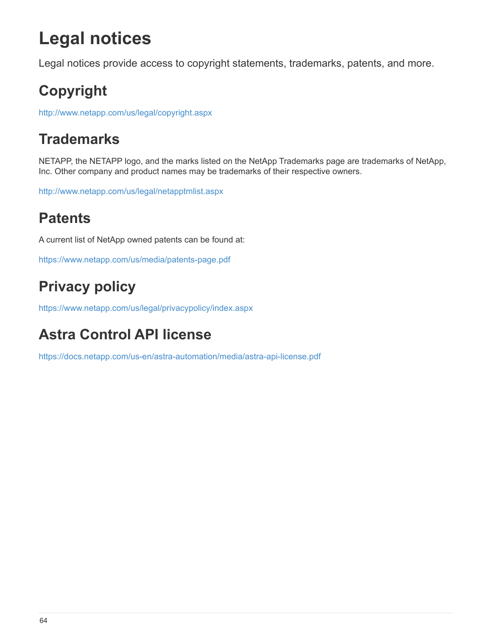# <span id="page-66-0"></span>**Legal notices**

Legal notices provide access to copyright statements, trademarks, patents, and more.

# <span id="page-66-1"></span>**Copyright**

<http://www.netapp.com/us/legal/copyright.aspx>

## <span id="page-66-2"></span>**Trademarks**

NETAPP, the NETAPP logo, and the marks listed on the NetApp Trademarks page are trademarks of NetApp, Inc. Other company and product names may be trademarks of their respective owners.

<http://www.netapp.com/us/legal/netapptmlist.aspx>

## <span id="page-66-3"></span>**Patents**

A current list of NetApp owned patents can be found at:

<https://www.netapp.com/us/media/patents-page.pdf>

## <span id="page-66-4"></span>**Privacy policy**

<https://www.netapp.com/us/legal/privacypolicy/index.aspx>

## <span id="page-66-5"></span>**Astra Control API license**

<https://docs.netapp.com/us-en/astra-automation/media/astra-api-license.pdf>